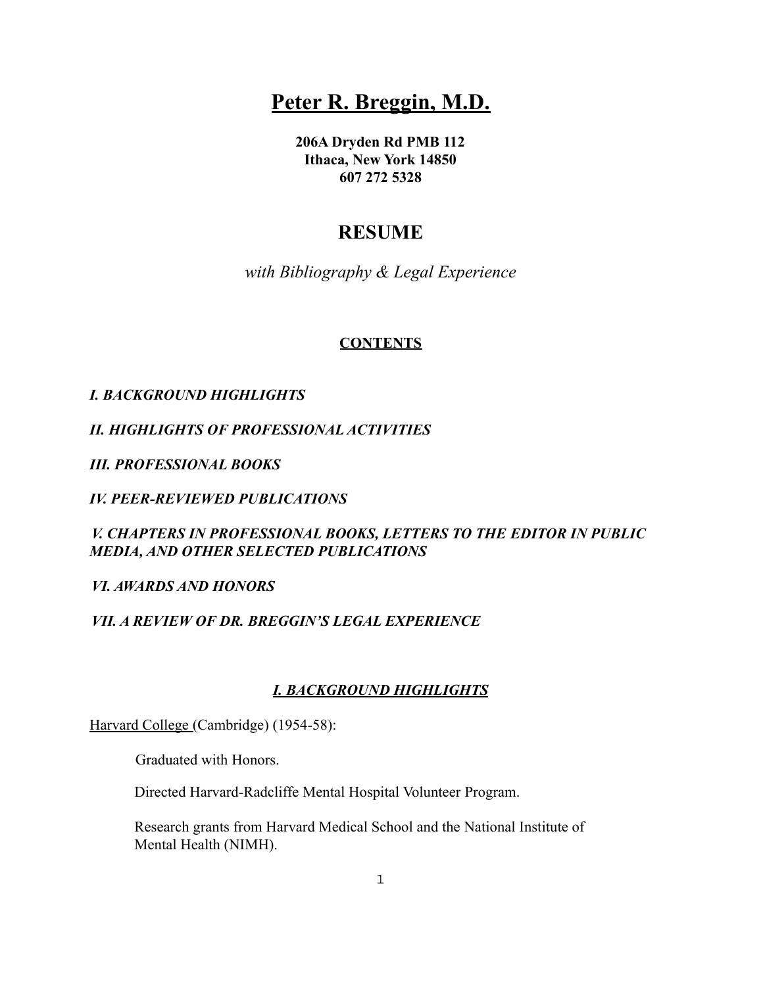# **Peter R. Breggin, M.D.**

**206A Dryden Rd PMB 112 Ithaca, New York 14850 607 272 5328**

## **RESUME**

*with Bibliography & Legal Experience*

## **CONTENTS**

## *I. BACKGROUND HIGHLIGHTS*

*II. HIGHLIGHTS OF PROFESSIONAL ACTIVITIES*

*III. PROFESSIONAL BOOKS*

*IV. PEER-REVIEWED PUBLICATIONS*

*V. CHAPTERS IN PROFESSIONAL BOOKS, LETTERS TO THE EDITOR IN PUBLIC MEDIA, AND OTHER SELECTED PUBLICATIONS*

#### *VI. AWARDS AND HONORS*

## *VII. A REVIEW OF DR. BREGGIN'S LEGAL EXPERIENCE*

## *I. BACKGROUND HIGHLIGHTS*

Harvard College (Cambridge) (1954-58):

Graduated with Honors.

Directed Harvard-Radcliffe Mental Hospital Volunteer Program.

Research grants from Harvard Medical School and the National Institute of Mental Health (NIMH).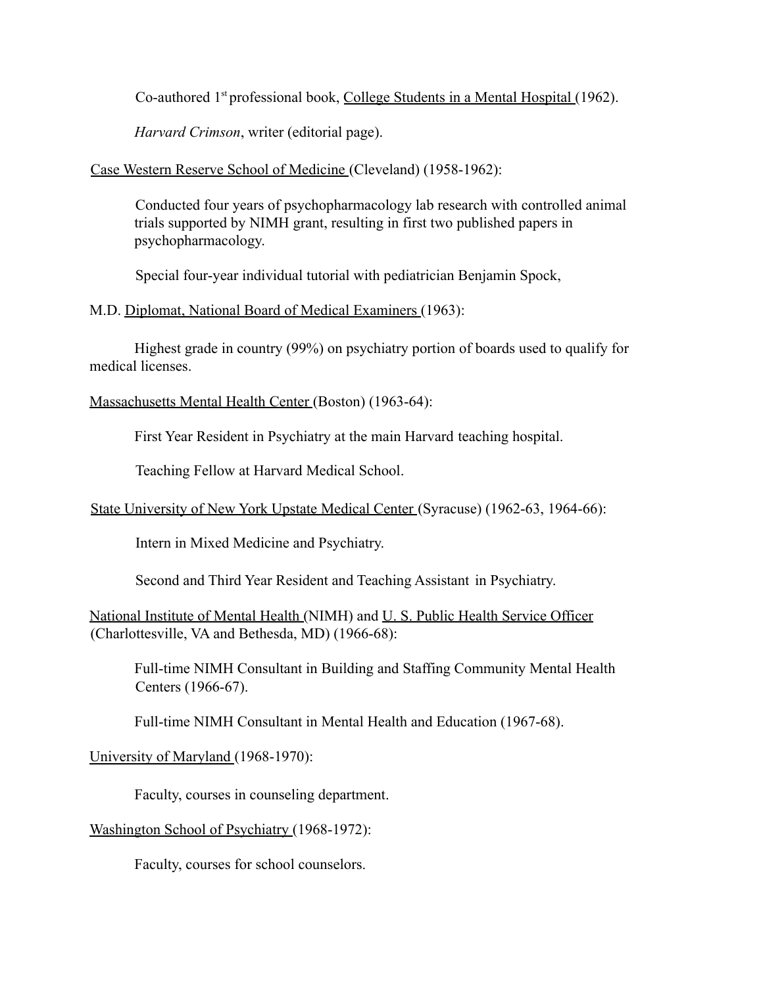Co-authored 1st professional book, College Students in a Mental Hospital (1962).

*Harvard Crimson*, writer (editorial page).

## Case Western Reserve School of Medicine (Cleveland) (1958-1962):

Conducted four years of psychopharmacology lab research with controlled animal trials supported by NIMH grant, resulting in first two published papers in psychopharmacology.

Special four-year individual tutorial with pediatrician Benjamin Spock,

## M.D. Diplomat, National Board of Medical Examiners (1963):

Highest grade in country (99%) on psychiatry portion of boards used to qualify for medical licenses.

Massachusetts Mental Health Center (Boston) (1963-64):

First Year Resident in Psychiatry at the main Harvard teaching hospital.

Teaching Fellow at Harvard Medical School.

State University of New York Upstate Medical Center (Syracuse) (1962-63, 1964-66):

Intern in Mixed Medicine and Psychiatry.

Second and Third Year Resident and Teaching Assistant in Psychiatry.

National Institute of Mental Health (NIMH) and U. S. Public Health Service Officer (Charlottesville, VA and Bethesda, MD) (1966-68):

Full-time NIMH Consultant in Building and Staffing Community Mental Health Centers (1966-67).

Full-time NIMH Consultant in Mental Health and Education (1967-68).

University of Maryland (1968-1970):

Faculty, courses in counseling department.

Washington School of Psychiatry (1968-1972):

Faculty, courses for school counselors.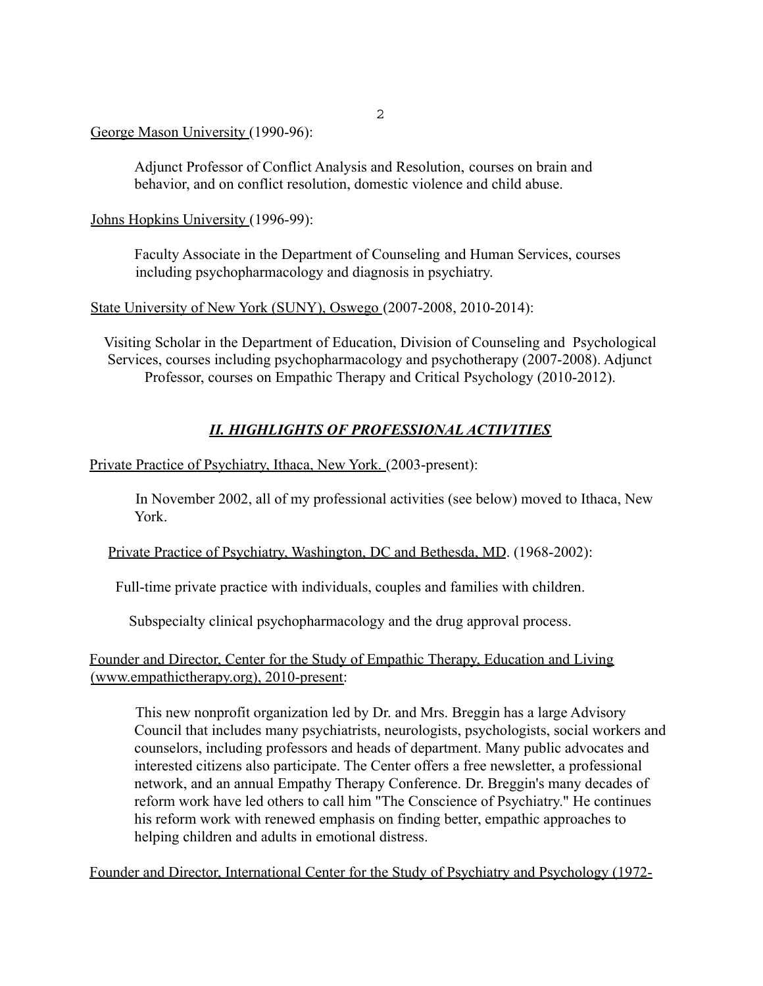#### George Mason University (1990-96):

Adjunct Professor of Conflict Analysis and Resolution, courses on brain and behavior, and on conflict resolution, domestic violence and child abuse.

Johns Hopkins University (1996-99):

Faculty Associate in the Department of Counseling and Human Services, courses including psychopharmacology and diagnosis in psychiatry.

#### State University of New York (SUNY), Oswego (2007-2008, 2010-2014):

Visiting Scholar in the Department of Education, Division of Counseling and Psychological Services, courses including psychopharmacology and psychotherapy (2007-2008). Adjunct Professor, courses on Empathic Therapy and Critical Psychology (2010-2012).

## *II. HIGHLIGHTS OF PROFESSIONAL ACTIVITIES*

Private Practice of Psychiatry, Ithaca, New York. (2003-present):

In November 2002, all of my professional activities (see below) moved to Ithaca, New York.

Private Practice of Psychiatry, Washington, DC and Bethesda, MD. (1968-2002):

Full-time private practice with individuals, couples and families with children.

Subspecialty clinical psychopharmacology and the drug approval process.

## Founder and Director, Center for the Study of Empathic Therapy, Education and Living (www.empathictherapy.org), 2010-present:

This new nonprofit organization led by Dr. and Mrs. Breggin has a large Advisory Council that includes many psychiatrists, neurologists, psychologists, social workers and counselors, including professors and heads of department. Many public advocates and interested citizens also participate. The Center offers a free newsletter, a professional network, and an annual Empathy Therapy Conference. Dr. Breggin's many decades of reform work have led others to call him "The Conscience of Psychiatry." He continues his reform work with renewed emphasis on finding better, empathic approaches to helping children and adults in emotional distress.

Founder and Director, International Center for the Study of Psychiatry and Psychology (1972-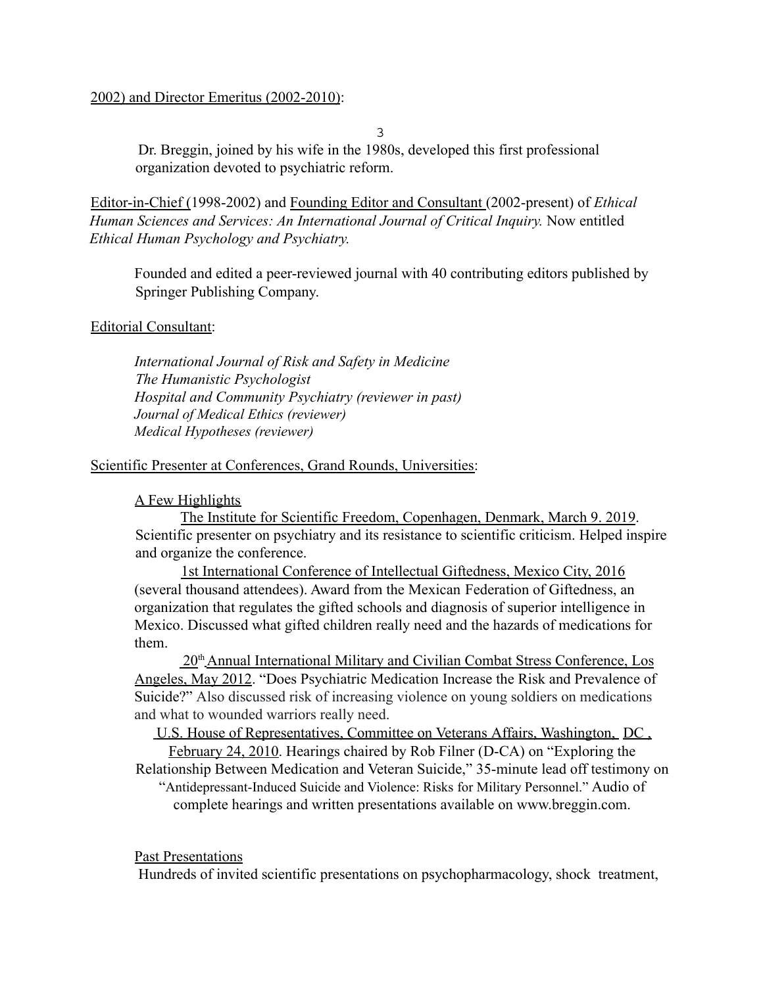#### 2002) and Director Emeritus (2002-2010):

3

Dr. Breggin, joined by his wife in the 1980s, developed this first professional organization devoted to psychiatric reform.

Editor-in-Chief (1998-2002) and Founding Editor and Consultant (2002-present) of *Ethical Human Sciences and Services: An International Journal of Critical Inquiry.* Now entitled *Ethical Human Psychology and Psychiatry.*

Founded and edited a peer-reviewed journal with 40 contributing editors published by Springer Publishing Company.

## Editorial Consultant:

*International Journal of Risk and Safety in Medicine The Humanistic Psychologist Hospital and Community Psychiatry (reviewer in past) Journal of Medical Ethics (reviewer) Medical Hypotheses (reviewer)*

## Scientific Presenter at Conferences, Grand Rounds, Universities:

#### A Few Highlights

The Institute for Scientific Freedom, Copenhagen, Denmark, March 9. 2019. Scientific presenter on psychiatry and its resistance to scientific criticism. Helped inspire and organize the conference.

1st International Conference of Intellectual Giftedness, Mexico City, 2016 (several thousand attendees). Award from the Mexican Federation of Giftedness, an organization that regulates the gifted schools and diagnosis of superior intelligence in Mexico. Discussed what gifted children really need and the hazards of medications for them.

20th Annual International Military and Civilian Combat Stress Conference, Los Angeles, May 2012. "Does Psychiatric Medication Increase the Risk and Prevalence of Suicide?" Also discussed risk of increasing violence on young soldiers on medications and what to wounded warriors really need.

U.S. House of Representatives, Committee on Veterans Affairs, Washington, DC , February 24, 2010. Hearings chaired by Rob Filner (D-CA) on "Exploring the

Relationship Between Medication and Veteran Suicide," 35-minute lead off testimony on "Antidepressant-Induced Suicide and Violence: Risks for Military Personnel." Audio of

complete hearings and written presentations available on www.breggin.com.

#### Past Presentations

Hundreds of invited scientific presentations on psychopharmacology, shock treatment,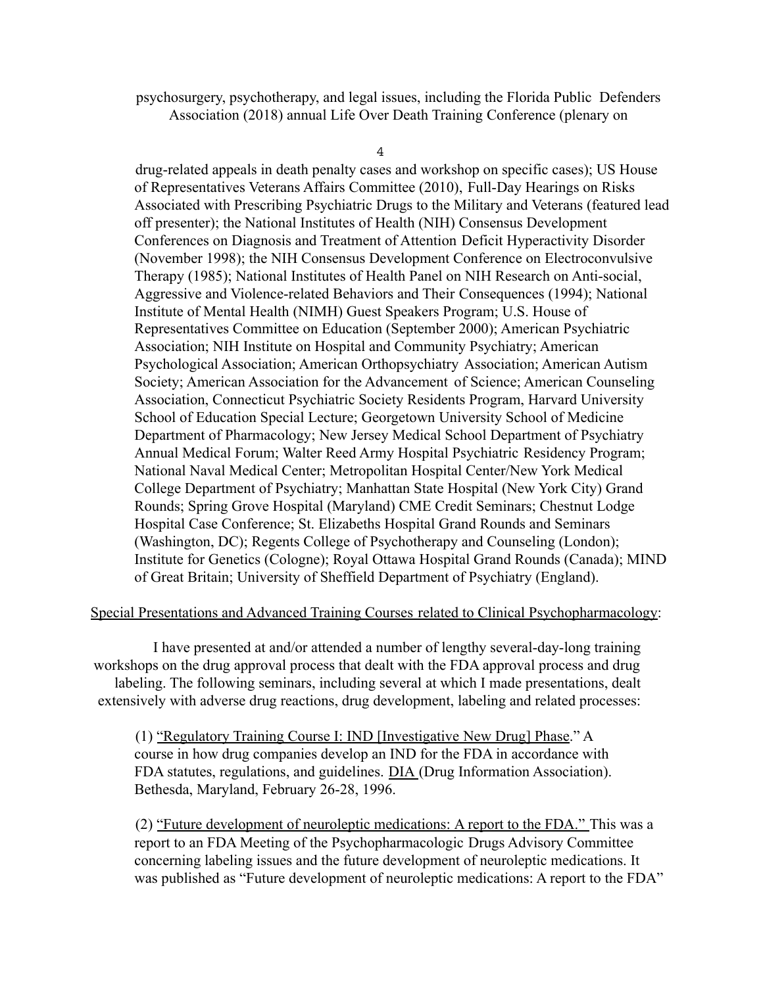psychosurgery, psychotherapy, and legal issues, including the Florida Public Defenders Association (2018) annual Life Over Death Training Conference (plenary on

4

drug-related appeals in death penalty cases and workshop on specific cases); US House of Representatives Veterans Affairs Committee (2010), Full-Day Hearings on Risks Associated with Prescribing Psychiatric Drugs to the Military and Veterans (featured lead off presenter); the National Institutes of Health (NIH) Consensus Development Conferences on Diagnosis and Treatment of Attention Deficit Hyperactivity Disorder (November 1998); the NIH Consensus Development Conference on Electroconvulsive Therapy (1985); National Institutes of Health Panel on NIH Research on Anti-social, Aggressive and Violence-related Behaviors and Their Consequences (1994); National Institute of Mental Health (NIMH) Guest Speakers Program; U.S. House of Representatives Committee on Education (September 2000); American Psychiatric Association; NIH Institute on Hospital and Community Psychiatry; American Psychological Association; American Orthopsychiatry Association; American Autism Society; American Association for the Advancement of Science; American Counseling Association, Connecticut Psychiatric Society Residents Program, Harvard University School of Education Special Lecture; Georgetown University School of Medicine Department of Pharmacology; New Jersey Medical School Department of Psychiatry Annual Medical Forum; Walter Reed Army Hospital Psychiatric Residency Program; National Naval Medical Center; Metropolitan Hospital Center/New York Medical College Department of Psychiatry; Manhattan State Hospital (New York City) Grand Rounds; Spring Grove Hospital (Maryland) CME Credit Seminars; Chestnut Lodge Hospital Case Conference; St. Elizabeths Hospital Grand Rounds and Seminars (Washington, DC); Regents College of Psychotherapy and Counseling (London); Institute for Genetics (Cologne); Royal Ottawa Hospital Grand Rounds (Canada); MIND of Great Britain; University of Sheffield Department of Psychiatry (England).

#### Special Presentations and Advanced Training Courses related to Clinical Psychopharmacology:

I have presented at and/or attended a number of lengthy several-day-long training workshops on the drug approval process that dealt with the FDA approval process and drug labeling. The following seminars, including several at which I made presentations, dealt extensively with adverse drug reactions, drug development, labeling and related processes:

(1) "Regulatory Training Course I: IND [Investigative New Drug] Phase." A course in how drug companies develop an IND for the FDA in accordance with FDA statutes, regulations, and guidelines. DIA (Drug Information Association). Bethesda, Maryland, February 26-28, 1996.

(2) "Future development of neuroleptic medications: A report to the FDA." This was a report to an FDA Meeting of the Psychopharmacologic Drugs Advisory Committee concerning labeling issues and the future development of neuroleptic medications. It was published as "Future development of neuroleptic medications: A report to the FDA"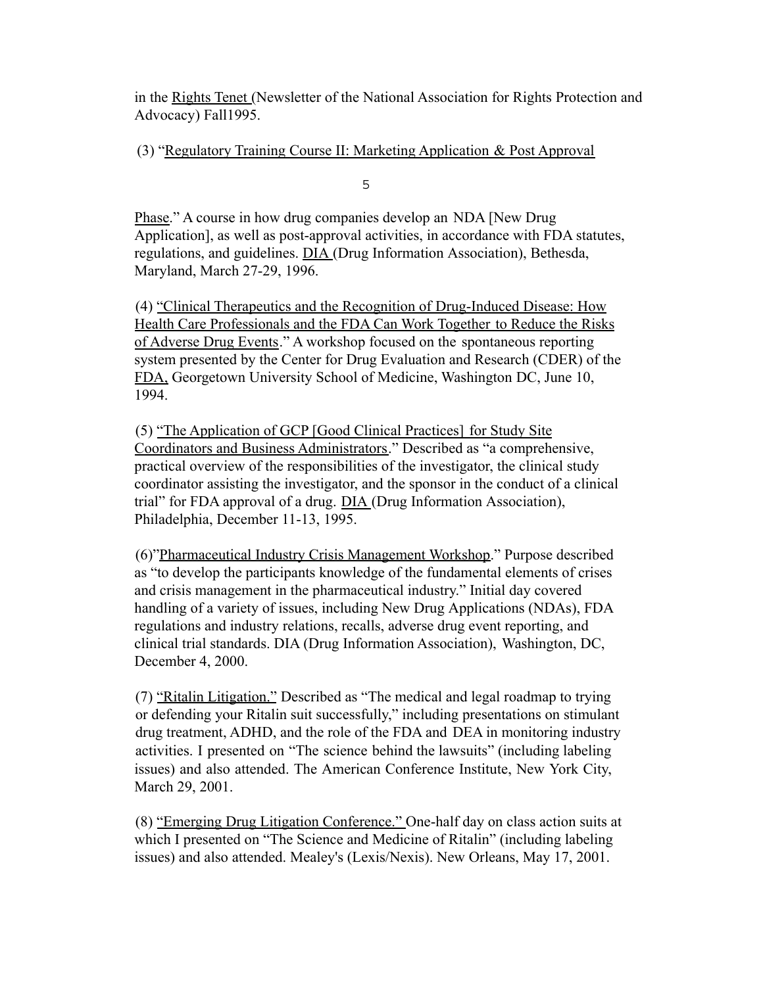in the Rights Tenet (Newsletter of the National Association for Rights Protection and Advocacy) Fall1995.

## (3) "Regulatory Training Course II: Marketing Application & Post Approval

5

Phase." A course in how drug companies develop an NDA [New Drug Application], as well as post-approval activities, in accordance with FDA statutes, regulations, and guidelines. DIA (Drug Information Association), Bethesda, Maryland, March 27-29, 1996.

(4) "Clinical Therapeutics and the Recognition of Drug-Induced Disease: How Health Care Professionals and the FDA Can Work Together to Reduce the Risks of Adverse Drug Events." A workshop focused on the spontaneous reporting system presented by the Center for Drug Evaluation and Research (CDER) of the FDA, Georgetown University School of Medicine, Washington DC, June 10, 1994.

(5) "The Application of GCP [Good Clinical Practices] for Study Site Coordinators and Business Administrators." Described as "a comprehensive, practical overview of the responsibilities of the investigator, the clinical study coordinator assisting the investigator, and the sponsor in the conduct of a clinical trial" for FDA approval of a drug. DIA (Drug Information Association), Philadelphia, December 11-13, 1995.

(6)"Pharmaceutical Industry Crisis Management Workshop." Purpose described as "to develop the participants knowledge of the fundamental elements of crises and crisis management in the pharmaceutical industry." Initial day covered handling of a variety of issues, including New Drug Applications (NDAs), FDA regulations and industry relations, recalls, adverse drug event reporting, and clinical trial standards. DIA (Drug Information Association), Washington, DC, December 4, 2000.

(7) "Ritalin Litigation." Described as "The medical and legal roadmap to trying or defending your Ritalin suit successfully," including presentations on stimulant drug treatment, ADHD, and the role of the FDA and DEA in monitoring industry activities. I presented on "The science behind the lawsuits" (including labeling issues) and also attended. The American Conference Institute, New York City, March 29, 2001.

(8) "Emerging Drug Litigation Conference." One-half day on class action suits at which I presented on "The Science and Medicine of Ritalin" (including labeling issues) and also attended. Mealey's (Lexis/Nexis). New Orleans, May 17, 2001.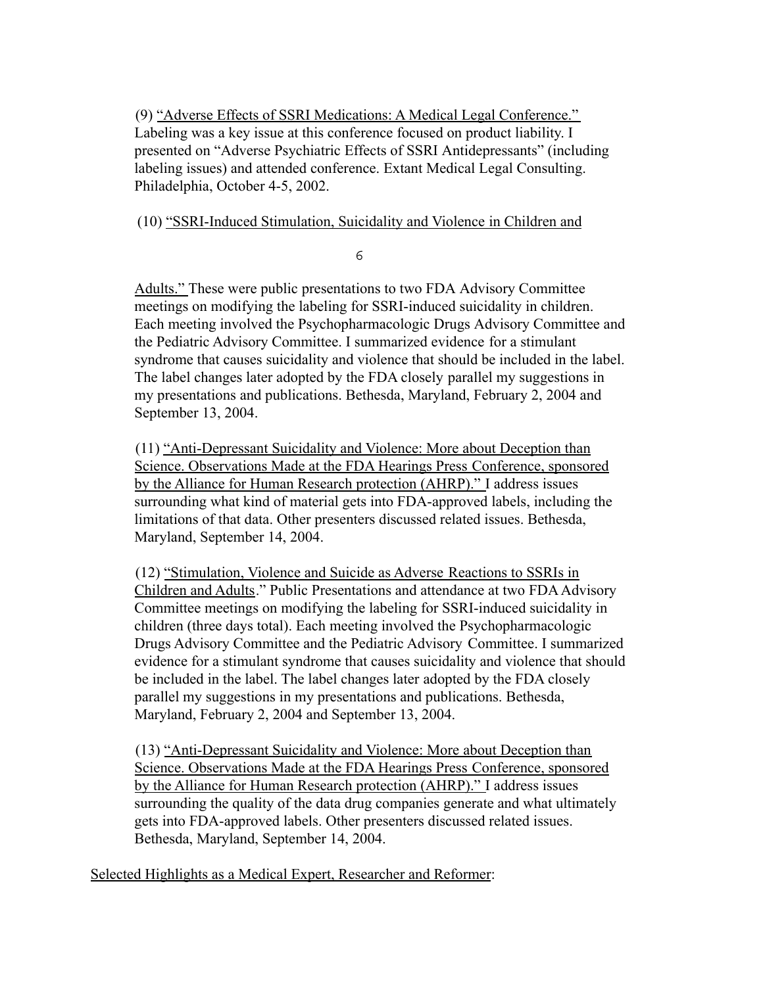(9) "Adverse Effects of SSRI Medications: A Medical Legal Conference." Labeling was a key issue at this conference focused on product liability. I presented on "Adverse Psychiatric Effects of SSRI Antidepressants" (including labeling issues) and attended conference. Extant Medical Legal Consulting. Philadelphia, October 4-5, 2002.

(10) "SSRI-Induced Stimulation, Suicidality and Violence in Children and

6

Adults." These were public presentations to two FDA Advisory Committee meetings on modifying the labeling for SSRI-induced suicidality in children. Each meeting involved the Psychopharmacologic Drugs Advisory Committee and the Pediatric Advisory Committee. I summarized evidence for a stimulant syndrome that causes suicidality and violence that should be included in the label. The label changes later adopted by the FDA closely parallel my suggestions in my presentations and publications. Bethesda, Maryland, February 2, 2004 and September 13, 2004.

(11) "Anti-Depressant Suicidality and Violence: More about Deception than Science. Observations Made at the FDA Hearings Press Conference, sponsored by the Alliance for Human Research protection (AHRP)." I address issues surrounding what kind of material gets into FDA-approved labels, including the limitations of that data. Other presenters discussed related issues. Bethesda, Maryland, September 14, 2004.

(12) "Stimulation, Violence and Suicide as Adverse Reactions to SSRIs in Children and Adults." Public Presentations and attendance at two FDAAdvisory Committee meetings on modifying the labeling for SSRI-induced suicidality in children (three days total). Each meeting involved the Psychopharmacologic Drugs Advisory Committee and the Pediatric Advisory Committee. I summarized evidence for a stimulant syndrome that causes suicidality and violence that should be included in the label. The label changes later adopted by the FDA closely parallel my suggestions in my presentations and publications. Bethesda, Maryland, February 2, 2004 and September 13, 2004.

(13) "Anti-Depressant Suicidality and Violence: More about Deception than Science. Observations Made at the FDA Hearings Press Conference, sponsored by the Alliance for Human Research protection (AHRP)." I address issues surrounding the quality of the data drug companies generate and what ultimately gets into FDA-approved labels. Other presenters discussed related issues. Bethesda, Maryland, September 14, 2004.

Selected Highlights as a Medical Expert, Researcher and Reformer: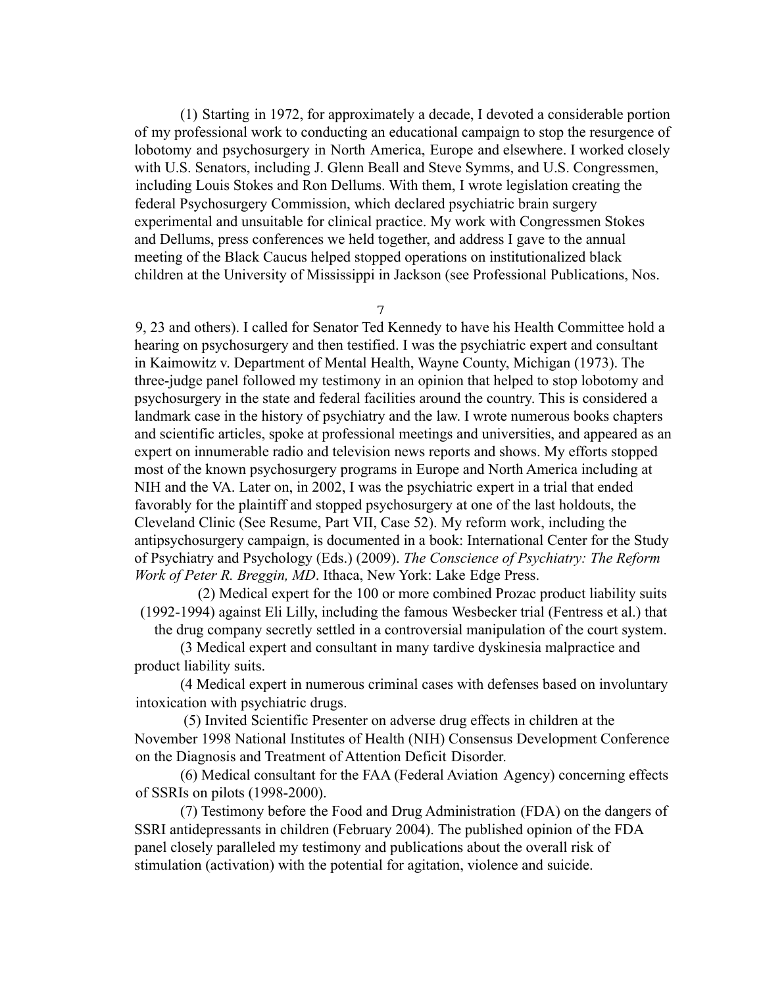(1) Starting in 1972, for approximately a decade, I devoted a considerable portion of my professional work to conducting an educational campaign to stop the resurgence of lobotomy and psychosurgery in North America, Europe and elsewhere. I worked closely with U.S. Senators, including J. Glenn Beall and Steve Symms, and U.S. Congressmen, including Louis Stokes and Ron Dellums. With them, I wrote legislation creating the federal Psychosurgery Commission, which declared psychiatric brain surgery experimental and unsuitable for clinical practice. My work with Congressmen Stokes and Dellums, press conferences we held together, and address I gave to the annual meeting of the Black Caucus helped stopped operations on institutionalized black children at the University of Mississippi in Jackson (see Professional Publications, Nos.

7

9, 23 and others). I called for Senator Ted Kennedy to have his Health Committee hold a hearing on psychosurgery and then testified. I was the psychiatric expert and consultant in Kaimowitz v. Department of Mental Health, Wayne County, Michigan (1973). The three-judge panel followed my testimony in an opinion that helped to stop lobotomy and psychosurgery in the state and federal facilities around the country. This is considered a landmark case in the history of psychiatry and the law. I wrote numerous books chapters and scientific articles, spoke at professional meetings and universities, and appeared as an expert on innumerable radio and television news reports and shows. My efforts stopped most of the known psychosurgery programs in Europe and North America including at NIH and the VA. Later on, in 2002, I was the psychiatric expert in a trial that ended favorably for the plaintiff and stopped psychosurgery at one of the last holdouts, the Cleveland Clinic (See Resume, Part VII, Case 52). My reform work, including the antipsychosurgery campaign, is documented in a book: International Center for the Study of Psychiatry and Psychology (Eds.) (2009). *The Conscience of Psychiatry: The Reform Work of Peter R. Breggin, MD*. Ithaca, New York: Lake Edge Press.

(2) Medical expert for the 100 or more combined Prozac product liability suits (1992-1994) against Eli Lilly, including the famous Wesbecker trial (Fentress et al.) that the drug company secretly settled in a controversial manipulation of the court system.

(3 Medical expert and consultant in many tardive dyskinesia malpractice and product liability suits.

(4 Medical expert in numerous criminal cases with defenses based on involuntary intoxication with psychiatric drugs.

(5) Invited Scientific Presenter on adverse drug effects in children at the November 1998 National Institutes of Health (NIH) Consensus Development Conference on the Diagnosis and Treatment of Attention Deficit Disorder.

(6) Medical consultant for the FAA (Federal Aviation Agency) concerning effects of SSRIs on pilots (1998-2000).

(7) Testimony before the Food and Drug Administration (FDA) on the dangers of SSRI antidepressants in children (February 2004). The published opinion of the FDA panel closely paralleled my testimony and publications about the overall risk of stimulation (activation) with the potential for agitation, violence and suicide.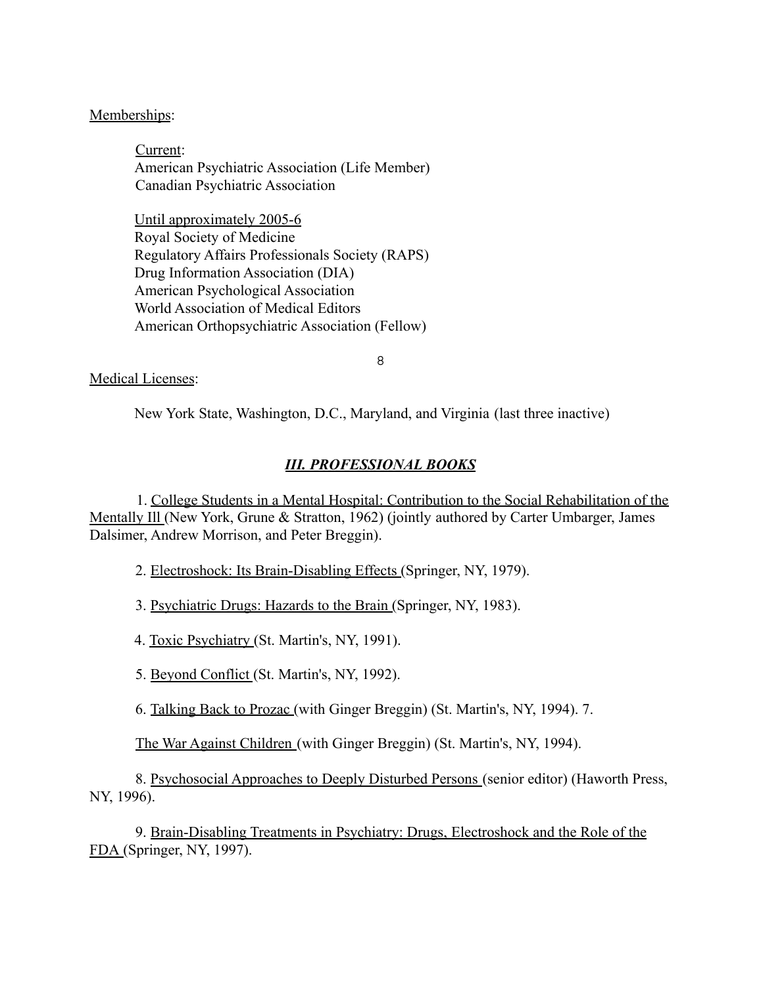## Memberships:

Current: American Psychiatric Association (Life Member) Canadian Psychiatric Association

Until approximately 2005-6 Royal Society of Medicine Regulatory Affairs Professionals Society (RAPS) Drug Information Association (DIA) American Psychological Association World Association of Medical Editors American Orthopsychiatric Association (Fellow)

8

#### Medical Licenses:

New York State, Washington, D.C., Maryland, and Virginia (last three inactive)

## *III. PROFESSIONAL BOOKS*

1. College Students in a Mental Hospital: Contribution to the Social Rehabilitation of the Mentally Ill (New York, Grune & Stratton, 1962) (jointly authored by Carter Umbarger, James Dalsimer, Andrew Morrison, and Peter Breggin).

2. Electroshock: Its Brain-Disabling Effects (Springer, NY, 1979).

3. Psychiatric Drugs: Hazards to the Brain (Springer, NY, 1983).

4. Toxic Psychiatry (St. Martin's, NY, 1991).

5. Beyond Conflict (St. Martin's, NY, 1992).

6. Talking Back to Prozac (with Ginger Breggin) (St. Martin's, NY, 1994). 7.

The War Against Children (with Ginger Breggin) (St. Martin's, NY, 1994).

8. Psychosocial Approaches to Deeply Disturbed Persons (senior editor) (Haworth Press, NY, 1996).

9. Brain-Disabling Treatments in Psychiatry: Drugs, Electroshock and the Role of the FDA (Springer, NY, 1997).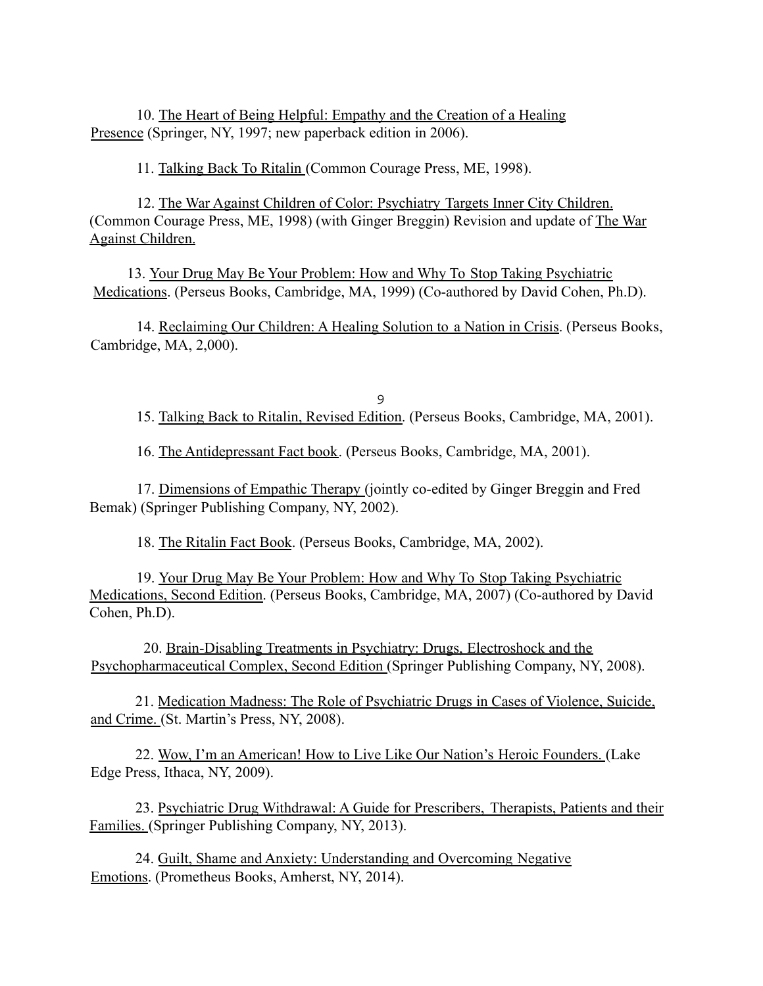10. The Heart of Being Helpful: Empathy and the Creation of a Healing Presence (Springer, NY, 1997; new paperback edition in 2006).

11. Talking Back To Ritalin (Common Courage Press, ME, 1998).

12. The War Against Children of Color: Psychiatry Targets Inner City Children. (Common Courage Press, ME, 1998) (with Ginger Breggin) Revision and update of The War Against Children.

13. Your Drug May Be Your Problem: How and Why To Stop Taking Psychiatric Medications. (Perseus Books, Cambridge, MA, 1999) (Co-authored by David Cohen, Ph.D).

14. Reclaiming Our Children: A Healing Solution to a Nation in Crisis. (Perseus Books, Cambridge, MA, 2,000).

9 15. Talking Back to Ritalin, Revised Edition. (Perseus Books, Cambridge, MA, 2001).

16. The Antidepressant Fact book. (Perseus Books, Cambridge, MA, 2001).

17. Dimensions of Empathic Therapy (jointly co-edited by Ginger Breggin and Fred Bemak) (Springer Publishing Company, NY, 2002).

18. The Ritalin Fact Book. (Perseus Books, Cambridge, MA, 2002).

19. Your Drug May Be Your Problem: How and Why To Stop Taking Psychiatric Medications, Second Edition. (Perseus Books, Cambridge, MA, 2007) (Co-authored by David Cohen, Ph.D).

20. Brain-Disabling Treatments in Psychiatry: Drugs, Electroshock and the Psychopharmaceutical Complex, Second Edition (Springer Publishing Company, NY, 2008).

21. Medication Madness: The Role of Psychiatric Drugs in Cases of Violence, Suicide, and Crime. (St. Martin's Press, NY, 2008).

22. Wow, I'm an American! How to Live Like Our Nation's Heroic Founders. (Lake Edge Press, Ithaca, NY, 2009).

23. Psychiatric Drug Withdrawal: A Guide for Prescribers, Therapists, Patients and their Families. (Springer Publishing Company, NY, 2013).

24. Guilt, Shame and Anxiety: Understanding and Overcoming Negative Emotions. (Prometheus Books, Amherst, NY, 2014).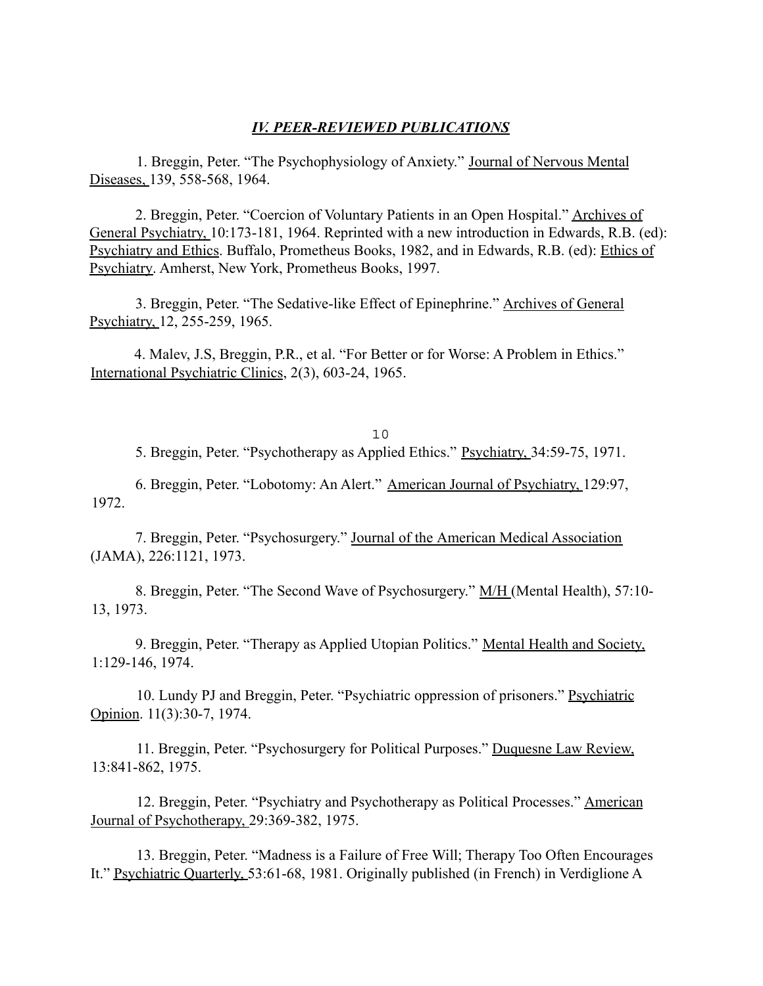#### *IV. PEER-REVIEWED PUBLICATIONS*

1. Breggin, Peter. "The Psychophysiology of Anxiety." Journal of Nervous Mental Diseases, 139, 558-568, 1964.

2. Breggin, Peter. "Coercion of Voluntary Patients in an Open Hospital." Archives of General Psychiatry, 10:173-181, 1964. Reprinted with a new introduction in Edwards, R.B. (ed): Psychiatry and Ethics. Buffalo, Prometheus Books, 1982, and in Edwards, R.B. (ed): Ethics of Psychiatry. Amherst, New York, Prometheus Books, 1997.

3. Breggin, Peter. "The Sedative-like Effect of Epinephrine." Archives of General Psychiatry, 12, 255-259, 1965.

4. Malev, J.S, Breggin, P.R., et al. "For Better or for Worse: A Problem in Ethics." International Psychiatric Clinics, 2(3), 603-24, 1965.

10 5. Breggin, Peter. "Psychotherapy as Applied Ethics." Psychiatry, 34:59-75, 1971.

6. Breggin, Peter. "Lobotomy: An Alert." American Journal of Psychiatry, 129:97, 1972.

7. Breggin, Peter. "Psychosurgery." Journal of the American Medical Association (JAMA), 226:1121, 1973.

8. Breggin, Peter. "The Second Wave of Psychosurgery." M/H (Mental Health), 57:10- 13, 1973.

9. Breggin, Peter. "Therapy as Applied Utopian Politics." Mental Health and Society, 1:129-146, 1974.

10. Lundy PJ and Breggin, Peter. "Psychiatric oppression of prisoners." Psychiatric Opinion. 11(3):30-7, 1974.

11. Breggin, Peter. "Psychosurgery for Political Purposes." Duquesne Law Review, 13:841-862, 1975.

12. Breggin, Peter. "Psychiatry and Psychotherapy as Political Processes." American Journal of Psychotherapy, 29:369-382, 1975.

13. Breggin, Peter. "Madness is a Failure of Free Will; Therapy Too Often Encourages It." Psychiatric Quarterly, 53:61-68, 1981. Originally published (in French) in Verdiglione A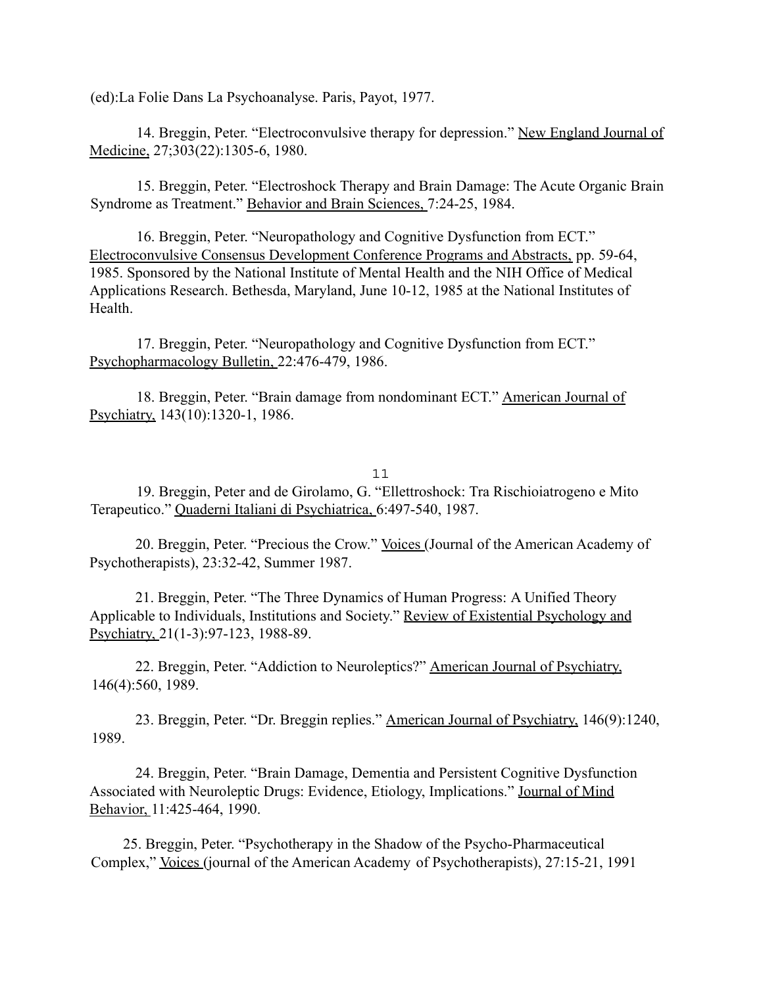(ed):La Folie Dans La Psychoanalyse. Paris, Payot, 1977.

14. Breggin, Peter. "Electroconvulsive therapy for depression." New England Journal of Medicine, 27;303(22):1305-6, 1980.

15. Breggin, Peter. "Electroshock Therapy and Brain Damage: The Acute Organic Brain Syndrome as Treatment." Behavior and Brain Sciences, 7:24-25, 1984.

16. Breggin, Peter. "Neuropathology and Cognitive Dysfunction from ECT." Electroconvulsive Consensus Development Conference Programs and Abstracts, pp. 59-64, 1985. Sponsored by the National Institute of Mental Health and the NIH Office of Medical Applications Research. Bethesda, Maryland, June 10-12, 1985 at the National Institutes of Health.

17. Breggin, Peter. "Neuropathology and Cognitive Dysfunction from ECT." Psychopharmacology Bulletin, 22:476-479, 1986.

18. Breggin, Peter. "Brain damage from nondominant ECT." American Journal of Psychiatry, 143(10):1320-1, 1986.

#### 11

19. Breggin, Peter and de Girolamo, G. "Ellettroshock: Tra Rischioiatrogeno e Mito Terapeutico." Quaderni Italiani di Psychiatrica, 6:497-540, 1987.

20. Breggin, Peter. "Precious the Crow." Voices (Journal of the American Academy of Psychotherapists), 23:32-42, Summer 1987.

21. Breggin, Peter. "The Three Dynamics of Human Progress: A Unified Theory Applicable to Individuals, Institutions and Society." Review of Existential Psychology and Psychiatry, 21(1-3):97-123, 1988-89.

22. Breggin, Peter. "Addiction to Neuroleptics?" American Journal of Psychiatry, 146(4):560, 1989.

23. Breggin, Peter. "Dr. Breggin replies." American Journal of Psychiatry, 146(9):1240, 1989.

24. Breggin, Peter. "Brain Damage, Dementia and Persistent Cognitive Dysfunction Associated with Neuroleptic Drugs: Evidence, Etiology, Implications." Journal of Mind Behavior, 11:425-464, 1990.

25. Breggin, Peter. "Psychotherapy in the Shadow of the Psycho-Pharmaceutical Complex," Voices (journal of the American Academy of Psychotherapists), 27:15-21, 1991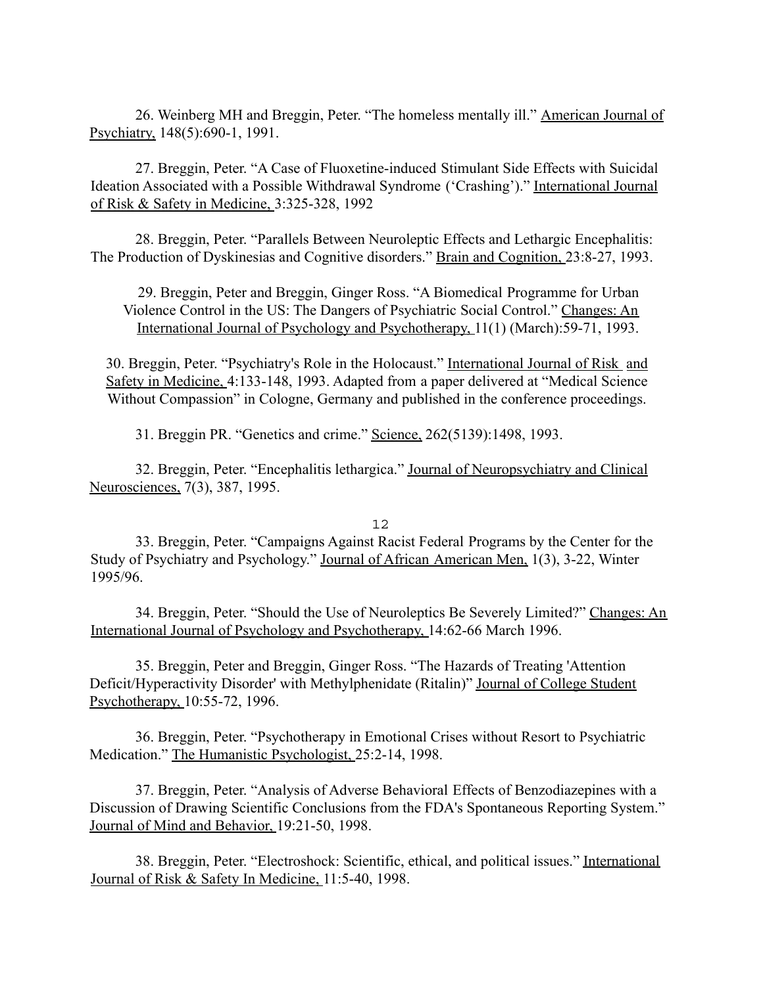26. Weinberg MH and Breggin, Peter. "The homeless mentally ill." American Journal of Psychiatry, 148(5):690-1, 1991.

27. Breggin, Peter. "A Case of Fluoxetine-induced Stimulant Side Effects with Suicidal Ideation Associated with a Possible Withdrawal Syndrome ('Crashing')." International Journal of Risk & Safety in Medicine, 3:325-328, 1992

28. Breggin, Peter. "Parallels Between Neuroleptic Effects and Lethargic Encephalitis: The Production of Dyskinesias and Cognitive disorders." Brain and Cognition, 23:8-27, 1993.

29. Breggin, Peter and Breggin, Ginger Ross. "A Biomedical Programme for Urban Violence Control in the US: The Dangers of Psychiatric Social Control." Changes: An International Journal of Psychology and Psychotherapy, 11(1) (March):59-71, 1993.

30. Breggin, Peter. "Psychiatry's Role in the Holocaust." International Journal of Risk and Safety in Medicine, 4:133-148, 1993. Adapted from a paper delivered at "Medical Science Without Compassion" in Cologne, Germany and published in the conference proceedings.

31. Breggin PR. "Genetics and crime." Science, 262(5139):1498, 1993.

32. Breggin, Peter. "Encephalitis lethargica." Journal of Neuropsychiatry and Clinical Neurosciences, 7(3), 387, 1995.

#### 12

33. Breggin, Peter. "Campaigns Against Racist Federal Programs by the Center for the Study of Psychiatry and Psychology." Journal of African American Men, 1(3), 3-22, Winter 1995/96.

34. Breggin, Peter. "Should the Use of Neuroleptics Be Severely Limited?" Changes: An International Journal of Psychology and Psychotherapy, 14:62-66 March 1996.

35. Breggin, Peter and Breggin, Ginger Ross. "The Hazards of Treating 'Attention Deficit/Hyperactivity Disorder' with Methylphenidate (Ritalin)" Journal of College Student Psychotherapy, 10:55-72, 1996.

36. Breggin, Peter. "Psychotherapy in Emotional Crises without Resort to Psychiatric Medication." The Humanistic Psychologist, 25:2-14, 1998.

37. Breggin, Peter. "Analysis of Adverse Behavioral Effects of Benzodiazepines with a Discussion of Drawing Scientific Conclusions from the FDA's Spontaneous Reporting System." Journal of Mind and Behavior, 19:21-50, 1998.

38. Breggin, Peter. "Electroshock: Scientific, ethical, and political issues." International Journal of Risk & Safety In Medicine, 11:5-40, 1998.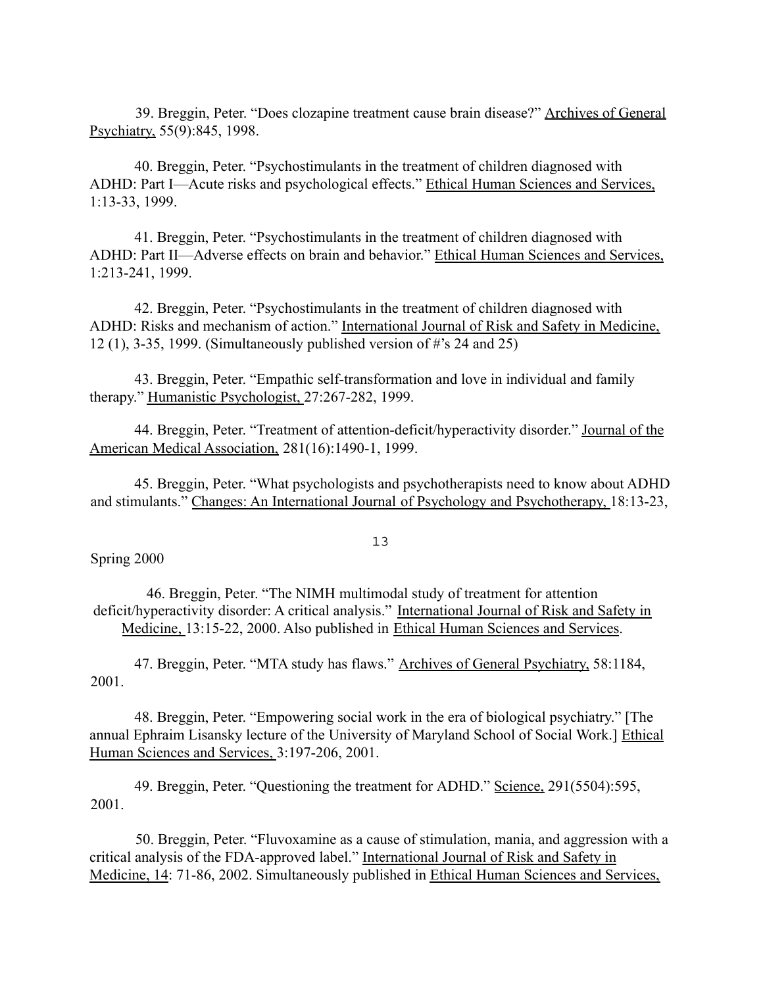39. Breggin, Peter. "Does clozapine treatment cause brain disease?" Archives of General Psychiatry, 55(9):845, 1998.

40. Breggin, Peter. "Psychostimulants in the treatment of children diagnosed with ADHD: Part I—Acute risks and psychological effects." Ethical Human Sciences and Services, 1:13-33, 1999.

41. Breggin, Peter. "Psychostimulants in the treatment of children diagnosed with ADHD: Part II—Adverse effects on brain and behavior." Ethical Human Sciences and Services, 1:213-241, 1999.

42. Breggin, Peter. "Psychostimulants in the treatment of children diagnosed with ADHD: Risks and mechanism of action." International Journal of Risk and Safety in Medicine, 12 (1), 3-35, 1999. (Simultaneously published version of #'s 24 and 25)

43. Breggin, Peter. "Empathic self-transformation and love in individual and family therapy." Humanistic Psychologist, 27:267-282, 1999.

44. Breggin, Peter. "Treatment of attention-deficit/hyperactivity disorder." Journal of the American Medical Association, 281(16):1490-1, 1999.

45. Breggin, Peter. "What psychologists and psychotherapists need to know about ADHD and stimulants." Changes: An International Journal of Psychology and Psychotherapy, 18:13-23,

13

Spring 2000

46. Breggin, Peter. "The NIMH multimodal study of treatment for attention deficit/hyperactivity disorder: A critical analysis." International Journal of Risk and Safety in Medicine, 13:15-22, 2000. Also published in Ethical Human Sciences and Services.

47. Breggin, Peter. "MTA study has flaws." Archives of General Psychiatry, 58:1184, 2001.

48. Breggin, Peter. "Empowering social work in the era of biological psychiatry." [The annual Ephraim Lisansky lecture of the University of Maryland School of Social Work.] Ethical Human Sciences and Services, 3:197-206, 2001.

49. Breggin, Peter. "Questioning the treatment for ADHD." Science, 291(5504):595, 2001.

50. Breggin, Peter. "Fluvoxamine as a cause of stimulation, mania, and aggression with a critical analysis of the FDA-approved label." International Journal of Risk and Safety in Medicine, 14: 71-86, 2002. Simultaneously published in Ethical Human Sciences and Services,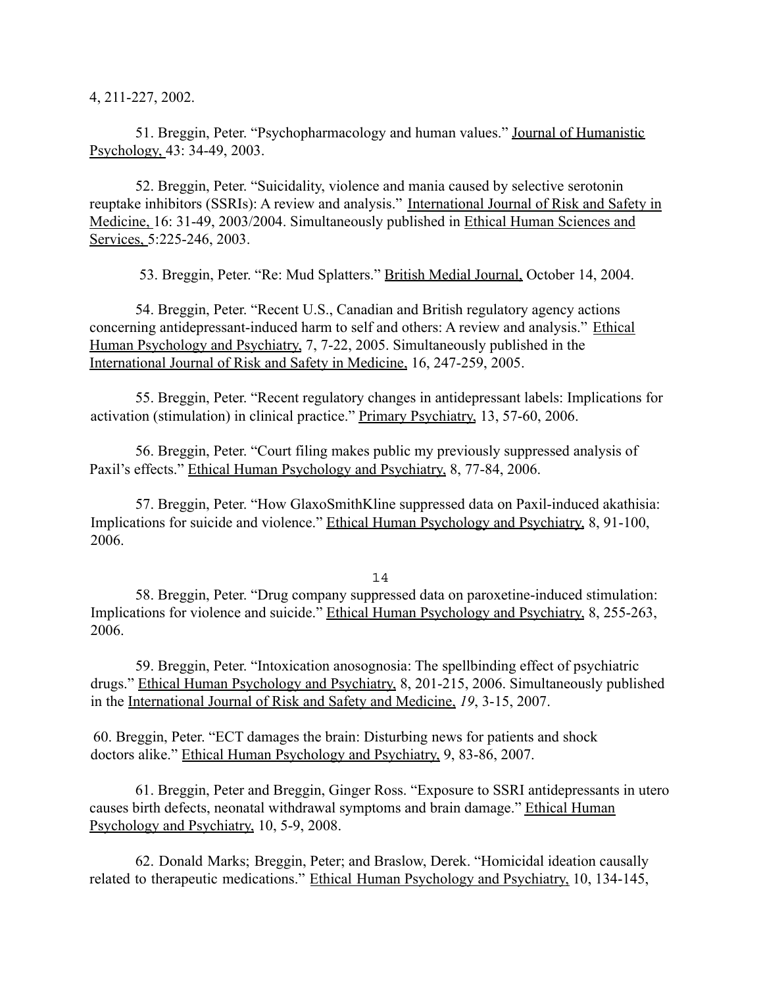4, 211-227, 2002.

51. Breggin, Peter. "Psychopharmacology and human values." Journal of Humanistic Psychology, 43: 34-49, 2003.

52. Breggin, Peter. "Suicidality, violence and mania caused by selective serotonin reuptake inhibitors (SSRIs): A review and analysis." International Journal of Risk and Safety in Medicine, 16: 31-49, 2003/2004. Simultaneously published in Ethical Human Sciences and Services, 5:225-246, 2003.

53. Breggin, Peter. "Re: Mud Splatters." British Medial Journal, October 14, 2004.

54. Breggin, Peter. "Recent U.S., Canadian and British regulatory agency actions concerning antidepressant-induced harm to self and others: A review and analysis." Ethical Human Psychology and Psychiatry, 7, 7-22, 2005. Simultaneously published in the International Journal of Risk and Safety in Medicine, 16, 247-259, 2005.

55. Breggin, Peter. "Recent regulatory changes in antidepressant labels: Implications for activation (stimulation) in clinical practice." Primary Psychiatry, 13, 57-60, 2006.

56. Breggin, Peter. "Court filing makes public my previously suppressed analysis of Paxil's effects." Ethical Human Psychology and Psychiatry, 8, 77-84, 2006.

57. Breggin, Peter. "How GlaxoSmithKline suppressed data on Paxil-induced akathisia: Implications for suicide and violence." Ethical Human Psychology and Psychiatry, 8, 91-100, 2006.

14

58. Breggin, Peter. "Drug company suppressed data on paroxetine-induced stimulation: Implications for violence and suicide." Ethical Human Psychology and Psychiatry, 8, 255-263, 2006.

59. Breggin, Peter. "Intoxication anosognosia: The spellbinding effect of psychiatric drugs." Ethical Human Psychology and Psychiatry, 8, 201-215, 2006. Simultaneously published in the International Journal of Risk and Safety and Medicine, *19*, 3-15, 2007.

60. Breggin, Peter. "ECT damages the brain: Disturbing news for patients and shock doctors alike." Ethical Human Psychology and Psychiatry, 9, 83-86, 2007.

61. Breggin, Peter and Breggin, Ginger Ross. "Exposure to SSRI antidepressants in utero causes birth defects, neonatal withdrawal symptoms and brain damage." Ethical Human Psychology and Psychiatry, 10, 5-9, 2008.

62. Donald Marks; Breggin, Peter; and Braslow, Derek. "Homicidal ideation causally related to therapeutic medications." Ethical Human Psychology and Psychiatry, 10, 134-145,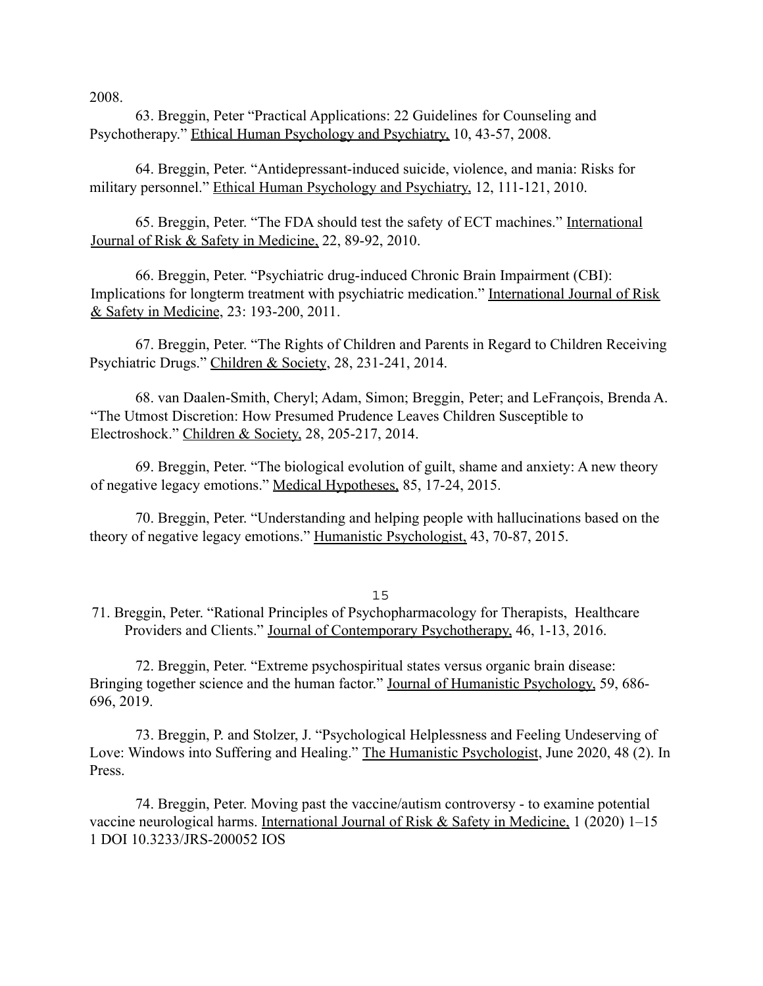2008.

63. Breggin, Peter "Practical Applications: 22 Guidelines for Counseling and Psychotherapy." Ethical Human Psychology and Psychiatry, 10, 43-57, 2008.

64. Breggin, Peter. "Antidepressant-induced suicide, violence, and mania: Risks for military personnel." Ethical Human Psychology and Psychiatry, 12, 111-121, 2010.

65. Breggin, Peter. "The FDA should test the safety of ECT machines." International Journal of Risk & Safety in Medicine, 22, 89-92, 2010.

66. Breggin, Peter. "Psychiatric drug-induced Chronic Brain Impairment (CBI): Implications for longterm treatment with psychiatric medication." International Journal of Risk & Safety in Medicine, 23: 193-200, 2011.

67. Breggin, Peter. "The Rights of Children and Parents in Regard to Children Receiving Psychiatric Drugs." Children & Society, 28, 231-241, 2014.

68. van Daalen-Smith, Cheryl; Adam, Simon; Breggin, Peter; and LeFrançois, Brenda A. "The Utmost Discretion: How Presumed Prudence Leaves Children Susceptible to Electroshock." Children & Society, 28, 205-217, 2014.

69. Breggin, Peter. "The biological evolution of guilt, shame and anxiety: A new theory of negative legacy emotions." Medical Hypotheses, 85, 17-24, 2015.

70. Breggin, Peter. "Understanding and helping people with hallucinations based on the theory of negative legacy emotions." Humanistic Psychologist, 43, 70-87, 2015.

15

71. Breggin, Peter. "Rational Principles of Psychopharmacology for Therapists, Healthcare Providers and Clients." Journal of Contemporary Psychotherapy, 46, 1-13, 2016.

72. Breggin, Peter. "Extreme psychospiritual states versus organic brain disease: Bringing together science and the human factor." Journal of Humanistic Psychology, 59, 686- 696, 2019.

73. Breggin, P. and Stolzer, J. "Psychological Helplessness and Feeling Undeserving of Love: Windows into Suffering and Healing." The Humanistic Psychologist, June 2020, 48 (2). In Press.

74. Breggin, Peter. Moving past the vaccine/autism controversy - to examine potential vaccine neurological harms. International Journal of Risk & Safety in Medicine, 1 (2020) 1-15 1 DOI 10.3233/JRS-200052 IOS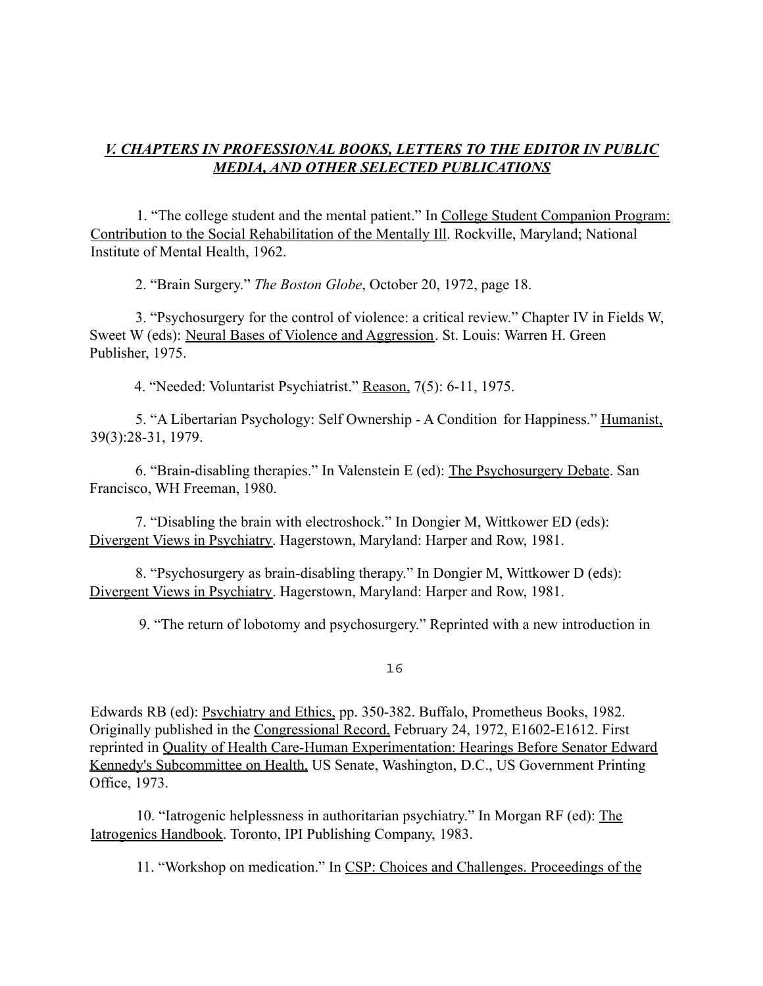## *V. CHAPTERS IN PROFESSIONAL BOOKS, LETTERS TO THE EDITOR IN PUBLIC MEDIA, AND OTHER SELECTED PUBLICATIONS*

1. "The college student and the mental patient." In College Student Companion Program: Contribution to the Social Rehabilitation of the Mentally Ill. Rockville, Maryland; National Institute of Mental Health, 1962.

2. "Brain Surgery." *The Boston Globe*, October 20, 1972, page 18.

3. "Psychosurgery for the control of violence: a critical review." Chapter IV in Fields W, Sweet W (eds): Neural Bases of Violence and Aggression. St. Louis: Warren H. Green Publisher, 1975.

4. "Needed: Voluntarist Psychiatrist." Reason, 7(5): 6-11, 1975.

5. "A Libertarian Psychology: Self Ownership - A Condition for Happiness." Humanist, 39(3):28-31, 1979.

6. "Brain-disabling therapies." In Valenstein E (ed): The Psychosurgery Debate. San Francisco, WH Freeman, 1980.

7. "Disabling the brain with electroshock." In Dongier M, Wittkower ED (eds): Divergent Views in Psychiatry. Hagerstown, Maryland: Harper and Row, 1981.

8. "Psychosurgery as brain-disabling therapy." In Dongier M, Wittkower D (eds): Divergent Views in Psychiatry. Hagerstown, Maryland: Harper and Row, 1981.

9. "The return of lobotomy and psychosurgery." Reprinted with a new introduction in

16

Edwards RB (ed): Psychiatry and Ethics, pp. 350-382. Buffalo, Prometheus Books, 1982. Originally published in the Congressional Record, February 24, 1972, E1602-E1612. First reprinted in Quality of Health Care-Human Experimentation: Hearings Before Senator Edward Kennedy's Subcommittee on Health, US Senate, Washington, D.C., US Government Printing Office, 1973.

10. "Iatrogenic helplessness in authoritarian psychiatry." In Morgan RF (ed): The Iatrogenics Handbook. Toronto, IPI Publishing Company, 1983.

11. "Workshop on medication." In CSP: Choices and Challenges. Proceedings of the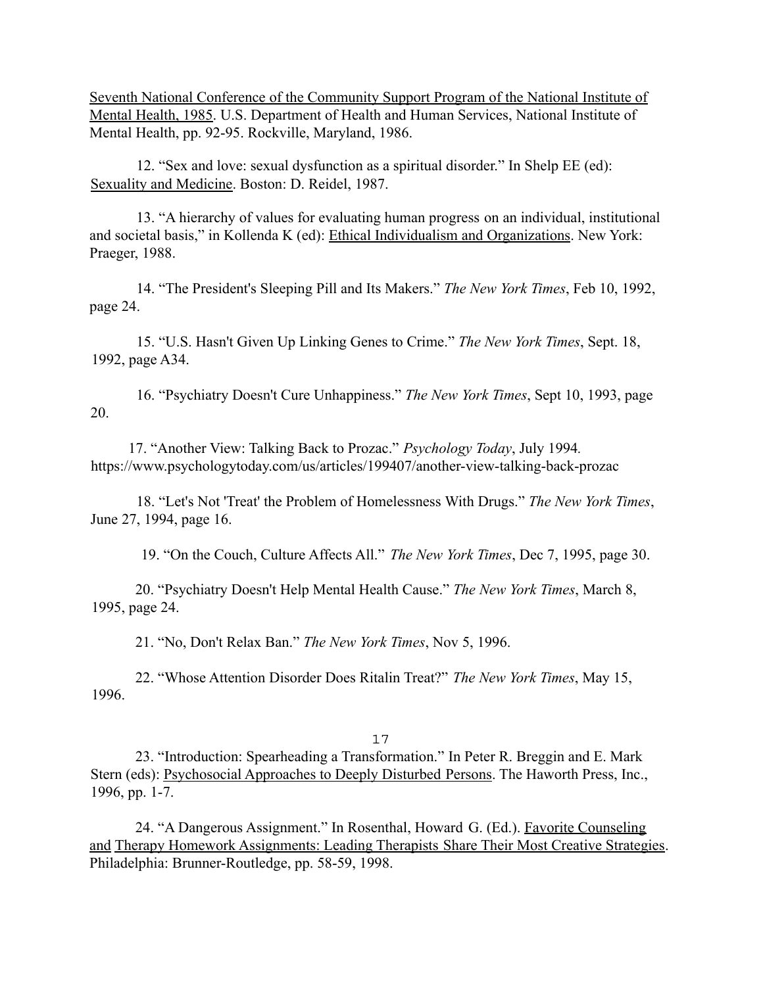Seventh National Conference of the Community Support Program of the National Institute of Mental Health, 1985. U.S. Department of Health and Human Services, National Institute of Mental Health, pp. 92-95. Rockville, Maryland, 1986.

12. "Sex and love: sexual dysfunction as a spiritual disorder." In Shelp EE (ed): Sexuality and Medicine. Boston: D. Reidel, 1987.

13. "A hierarchy of values for evaluating human progress on an individual, institutional and societal basis," in Kollenda K (ed): Ethical Individualism and Organizations. New York: Praeger, 1988.

14. "The President's Sleeping Pill and Its Makers." *The New York Times*, Feb 10, 1992, page 24.

15. "U.S. Hasn't Given Up Linking Genes to Crime." *The New York Times*, Sept. 18, 1992, page A34.

16. "Psychiatry Doesn't Cure Unhappiness." *The New York Times*, Sept 10, 1993, page 20.

17. "Another View: Talking Back to Prozac." *Psychology Today*, July 1994*.* https://www.psychologytoday.com/us/articles/199407/another-view-talking-back-prozac

18. "Let's Not 'Treat' the Problem of Homelessness With Drugs." *The New York Times*, June 27, 1994, page 16.

19. "On the Couch, Culture Affects All." *The New York Times*, Dec 7, 1995, page 30.

20. "Psychiatry Doesn't Help Mental Health Cause." *The New York Times*, March 8, 1995, page 24.

21. "No, Don't Relax Ban." *The New York Times*, Nov 5, 1996.

22. "Whose Attention Disorder Does Ritalin Treat?" *The New York Times*, May 15, 1996.

#### 17

23. "Introduction: Spearheading a Transformation." In Peter R. Breggin and E. Mark Stern (eds): Psychosocial Approaches to Deeply Disturbed Persons. The Haworth Press, Inc., 1996, pp. 1-7.

24. "A Dangerous Assignment." In Rosenthal, Howard G. (Ed.). Favorite Counseling and Therapy Homework Assignments: Leading Therapists Share Their Most Creative Strategies. Philadelphia: Brunner-Routledge, pp. 58-59, 1998.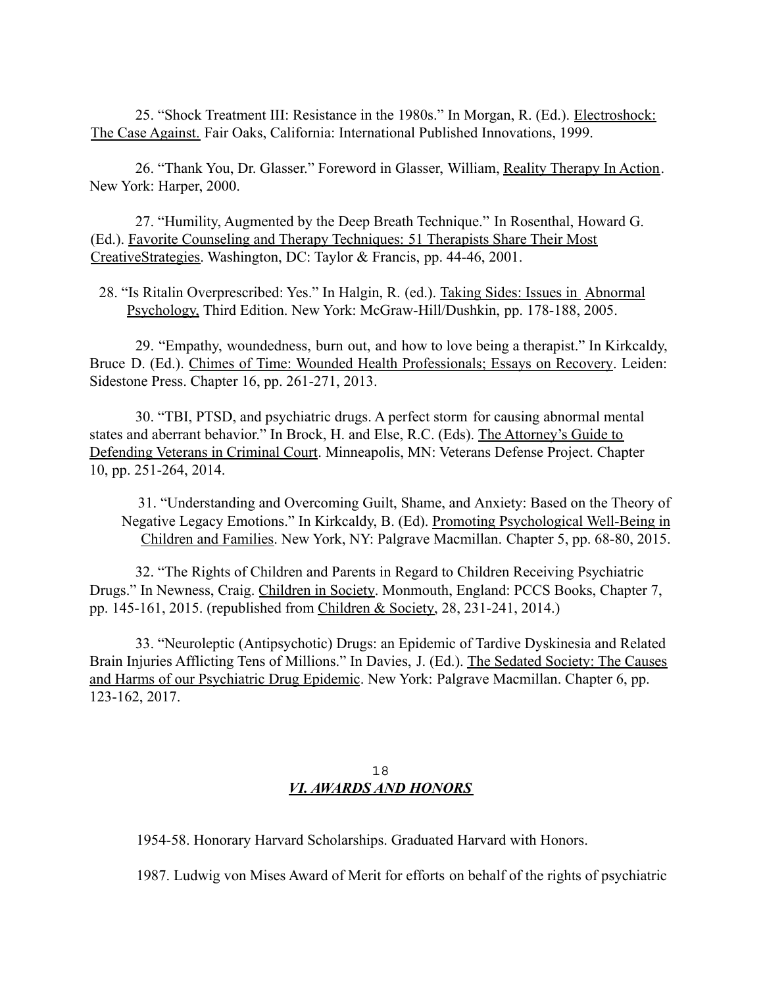25. "Shock Treatment III: Resistance in the 1980s." In Morgan, R. (Ed.). Electroshock: The Case Against*.* Fair Oaks, California: International Published Innovations, 1999.

26. "Thank You, Dr. Glasser." Foreword in Glasser, William, Reality Therapy In Action. New York: Harper, 2000.

27. "Humility, Augmented by the Deep Breath Technique." In Rosenthal, Howard G. (Ed.). Favorite Counseling and Therapy Techniques: 51 Therapists Share Their Most CreativeStrategies. Washington, DC: Taylor & Francis, pp. 44-46, 2001.

28. "Is Ritalin Overprescribed: Yes." In Halgin, R. (ed.). Taking Sides: Issues in Abnormal Psychology, Third Edition. New York: McGraw-Hill/Dushkin, pp. 178-188, 2005.

29. "Empathy, woundedness, burn out, and how to love being a therapist." In Kirkcaldy, Bruce D. (Ed.). Chimes of Time: Wounded Health Professionals; Essays on Recovery. Leiden: Sidestone Press. Chapter 16, pp. 261-271, 2013.

30. "TBI, PTSD, and psychiatric drugs. A perfect storm for causing abnormal mental states and aberrant behavior." In Brock, H. and Else, R.C. (Eds). The Attorney's Guide to Defending Veterans in Criminal Court. Minneapolis, MN: Veterans Defense Project. Chapter 10, pp. 251-264, 2014.

31. "Understanding and Overcoming Guilt, Shame, and Anxiety: Based on the Theory of Negative Legacy Emotions." In Kirkcaldy, B. (Ed). Promoting Psychological Well-Being in Children and Families. New York, NY: Palgrave Macmillan. Chapter 5, pp. 68-80, 2015.

32. "The Rights of Children and Parents in Regard to Children Receiving Psychiatric Drugs." In Newness, Craig. Children in Society. Monmouth, England: PCCS Books, Chapter 7, pp. 145-161, 2015. (republished from Children & Society, 28, 231-241, 2014.)

33. "Neuroleptic (Antipsychotic) Drugs: an Epidemic of Tardive Dyskinesia and Related Brain Injuries Afflicting Tens of Millions." In Davies, J. (Ed.). The Sedated Society: The Causes and Harms of our Psychiatric Drug Epidemic. New York: Palgrave Macmillan. Chapter 6, pp. 123-162, 2017.

#### 18 *VI. AWARDS AND HONORS*

1954-58. Honorary Harvard Scholarships. Graduated Harvard with Honors.

1987. Ludwig von Mises Award of Merit for efforts on behalf of the rights of psychiatric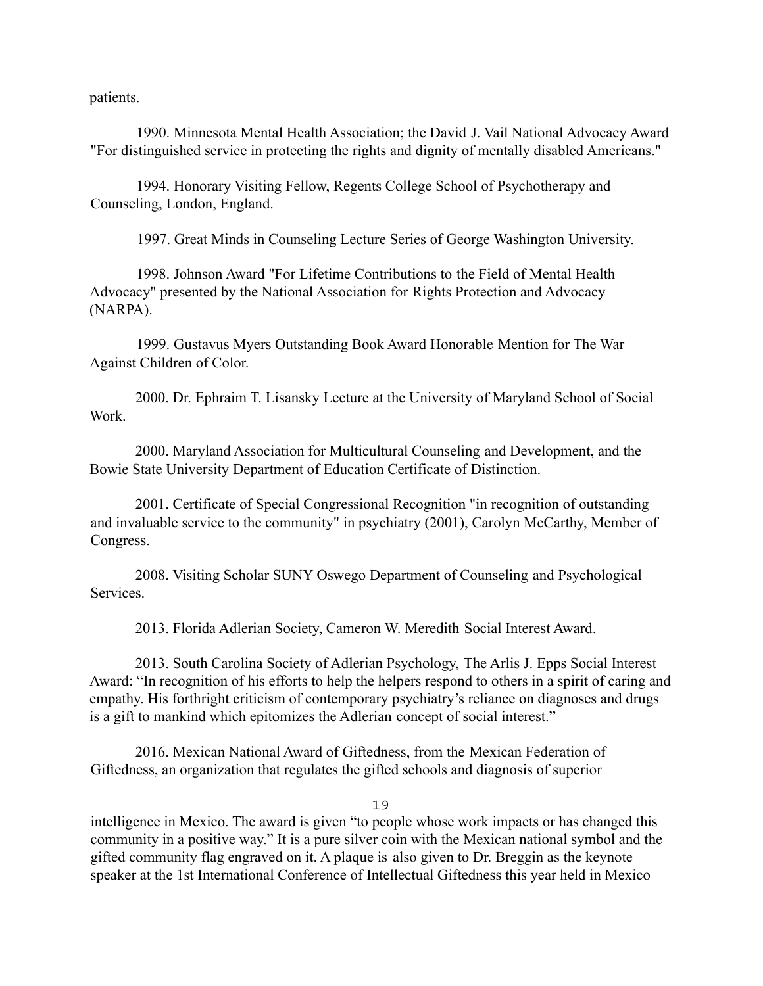patients.

1990. Minnesota Mental Health Association; the David J. Vail National Advocacy Award "For distinguished service in protecting the rights and dignity of mentally disabled Americans."

1994. Honorary Visiting Fellow, Regents College School of Psychotherapy and Counseling, London, England.

1997. Great Minds in Counseling Lecture Series of George Washington University.

1998. Johnson Award "For Lifetime Contributions to the Field of Mental Health Advocacy" presented by the National Association for Rights Protection and Advocacy (NARPA).

1999. Gustavus Myers Outstanding Book Award Honorable Mention for The War Against Children of Color.

2000. Dr. Ephraim T. Lisansky Lecture at the University of Maryland School of Social Work.

2000. Maryland Association for Multicultural Counseling and Development, and the Bowie State University Department of Education Certificate of Distinction.

2001. Certificate of Special Congressional Recognition "in recognition of outstanding and invaluable service to the community" in psychiatry (2001), Carolyn McCarthy, Member of Congress.

2008. Visiting Scholar SUNY Oswego Department of Counseling and Psychological Services.

2013. Florida Adlerian Society, Cameron W. Meredith Social Interest Award.

2013. South Carolina Society of Adlerian Psychology, The Arlis J. Epps Social Interest Award: "In recognition of his efforts to help the helpers respond to others in a spirit of caring and empathy. His forthright criticism of contemporary psychiatry's reliance on diagnoses and drugs is a gift to mankind which epitomizes the Adlerian concept of social interest."

2016. Mexican National Award of Giftedness, from the Mexican Federation of Giftedness, an organization that regulates the gifted schools and diagnosis of superior

19

intelligence in Mexico. The award is given "to people whose work impacts or has changed this community in a positive way." It is a pure silver coin with the Mexican national symbol and the gifted community flag engraved on it. A plaque is also given to Dr. Breggin as the keynote speaker at the 1st International Conference of Intellectual Giftedness this year held in Mexico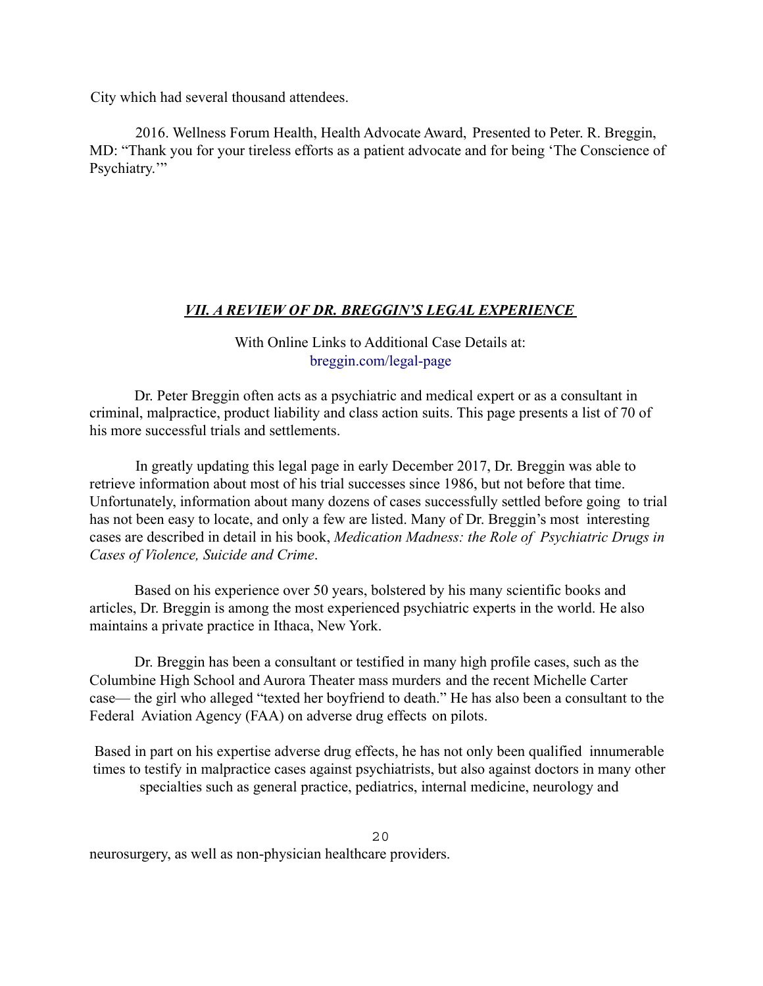City which had several thousand attendees.

2016. Wellness Forum Health, Health Advocate Award, Presented to Peter. R. Breggin, MD: "Thank you for your tireless efforts as a patient advocate and for being 'The Conscience of Psychiatry."

## *VII. A REVIEW OF DR. BREGGIN'S LEGAL EXPERIENCE*

With Online Links to Additional Case Details at: breggin.com/legal-page

Dr. Peter Breggin often acts as a psychiatric and medical expert or as a consultant in criminal, malpractice, product liability and class action suits. This page presents a list of 70 of his more successful trials and settlements.

In greatly updating this legal page in early December 2017, Dr. Breggin was able to retrieve information about most of his trial successes since 1986, but not before that time. Unfortunately, information about many dozens of cases successfully settled before going to trial has not been easy to locate, and only a few are listed. Many of Dr. Breggin's most interesting cases are described in detail in his book, *Medication Madness: the Role of Psychiatric Drugs in Cases of Violence, Suicide and Crime*.

Based on his experience over 50 years, bolstered by his many scientific books and articles, Dr. Breggin is among the most experienced psychiatric experts in the world. He also maintains a private practice in Ithaca, New York.

Dr. Breggin has been a consultant or testified in many high profile cases, such as the Columbine High School and Aurora Theater mass murders and the recent Michelle Carter case— the girl who alleged "texted her boyfriend to death." He has also been a consultant to the Federal Aviation Agency (FAA) on adverse drug effects on pilots.

Based in part on his expertise adverse drug effects, he has not only been qualified innumerable times to testify in malpractice cases against psychiatrists, but also against doctors in many other specialties such as general practice, pediatrics, internal medicine, neurology and

20 neurosurgery, as well as non-physician healthcare providers.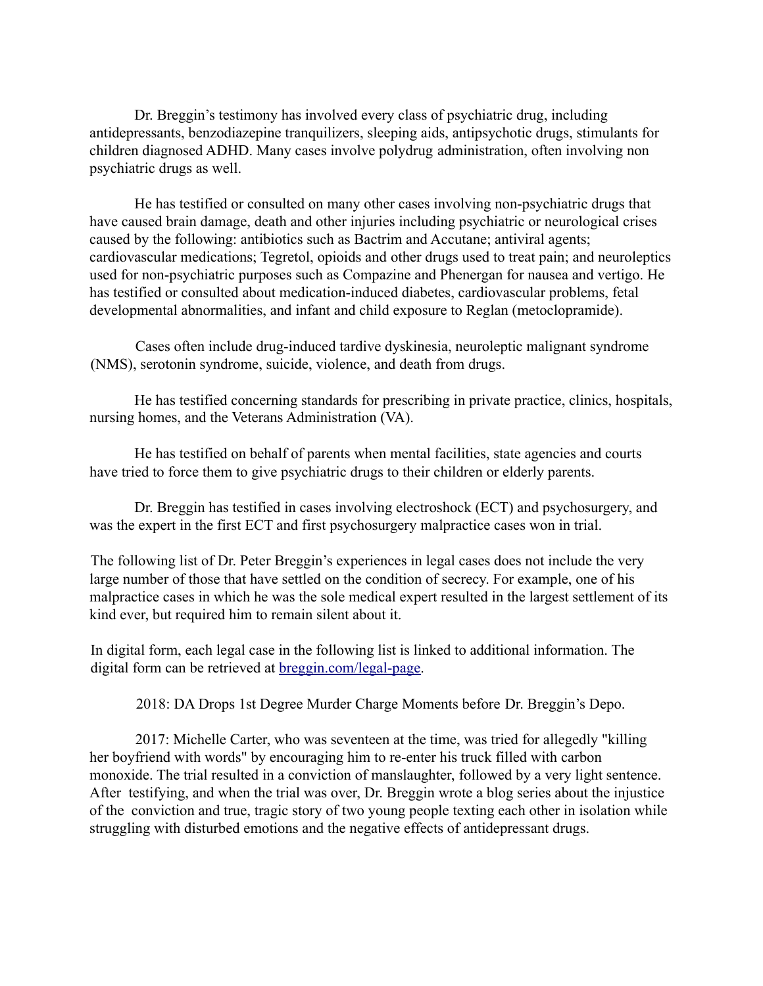Dr. Breggin's testimony has involved every class of psychiatric drug, including antidepressants, benzodiazepine tranquilizers, sleeping aids, antipsychotic drugs, stimulants for children diagnosed ADHD. Many cases involve polydrug administration, often involving non psychiatric drugs as well.

He has testified or consulted on many other cases involving non-psychiatric drugs that have caused brain damage, death and other injuries including psychiatric or neurological crises caused by the following: antibiotics such as Bactrim and Accutane; antiviral agents; cardiovascular medications; Tegretol, opioids and other drugs used to treat pain; and neuroleptics used for non-psychiatric purposes such as Compazine and Phenergan for nausea and vertigo. He has testified or consulted about medication-induced diabetes, cardiovascular problems, fetal developmental abnormalities, and infant and child exposure to Reglan (metoclopramide).

Cases often include drug-induced tardive dyskinesia, neuroleptic malignant syndrome (NMS), serotonin syndrome, suicide, violence, and death from drugs.

He has testified concerning standards for prescribing in private practice, clinics, hospitals, nursing homes, and the Veterans Administration (VA).

He has testified on behalf of parents when mental facilities, state agencies and courts have tried to force them to give psychiatric drugs to their children or elderly parents.

Dr. Breggin has testified in cases involving electroshock (ECT) and psychosurgery, and was the expert in the first ECT and first psychosurgery malpractice cases won in trial.

The following list of Dr. Peter Breggin's experiences in legal cases does not include the very large number of those that have settled on the condition of secrecy. For example, one of his malpractice cases in which he was the sole medical expert resulted in the largest settlement of its kind ever, but required him to remain silent about it.

In digital form, each legal case in the following list is linked to additional information. The digital form can be retrieved at breggin.com/legal-page.

2018: DA Drops 1st Degree Murder Charge Moments before Dr. Breggin's Depo.

2017: Michelle Carter, who was seventeen at the time, was tried for allegedly "killing her boyfriend with words" by encouraging him to re-enter his truck filled with carbon monoxide. The trial resulted in a conviction of manslaughter, followed by a very light sentence. After testifying, and when the trial was over, Dr. Breggin wrote a blog series about the injustice of the conviction and true, tragic story of two young people texting each other in isolation while struggling with disturbed emotions and the negative effects of antidepressant drugs.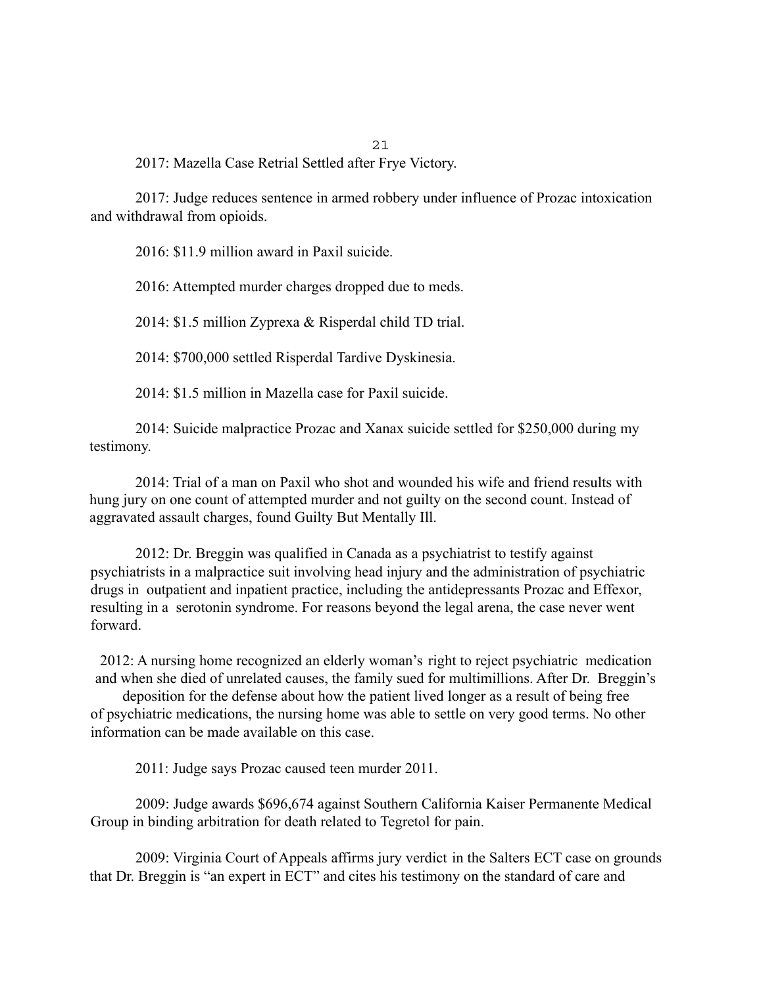2017: Mazella Case Retrial Settled after Frye Victory.

2017: Judge reduces sentence in armed robbery under influence of Prozac intoxication and withdrawal from opioids.

21

2016: \$11.9 million award in Paxil suicide.

2016: Attempted murder charges dropped due to meds.

2014: \$1.5 million Zyprexa & Risperdal child TD trial.

2014: \$700,000 settled Risperdal Tardive Dyskinesia.

2014: \$1.5 million in Mazella case for Paxil suicide.

2014: Suicide malpractice Prozac and Xanax suicide settled for \$250,000 during my testimony.

2014: Trial of a man on Paxil who shot and wounded his wife and friend results with hung jury on one count of attempted murder and not guilty on the second count. Instead of aggravated assault charges, found Guilty But Mentally Ill.

2012: Dr. Breggin was qualified in Canada as a psychiatrist to testify against psychiatrists in a malpractice suit involving head injury and the administration of psychiatric drugs in outpatient and inpatient practice, including the antidepressants Prozac and Effexor, resulting in a serotonin syndrome. For reasons beyond the legal arena, the case never went forward.

2012: A nursing home recognized an elderly woman's right to reject psychiatric medication and when she died of unrelated causes, the family sued for multimillions. After Dr. Breggin's

deposition for the defense about how the patient lived longer as a result of being free of psychiatric medications, the nursing home was able to settle on very good terms. No other information can be made available on this case.

2011: Judge says Prozac caused teen murder 2011.

2009: Judge awards \$696,674 against Southern California Kaiser Permanente Medical Group in binding arbitration for death related to Tegretol for pain.

2009: Virginia Court of Appeals affirms jury verdict in the Salters ECT case on grounds that Dr. Breggin is "an expert in ECT" and cites his testimony on the standard of care and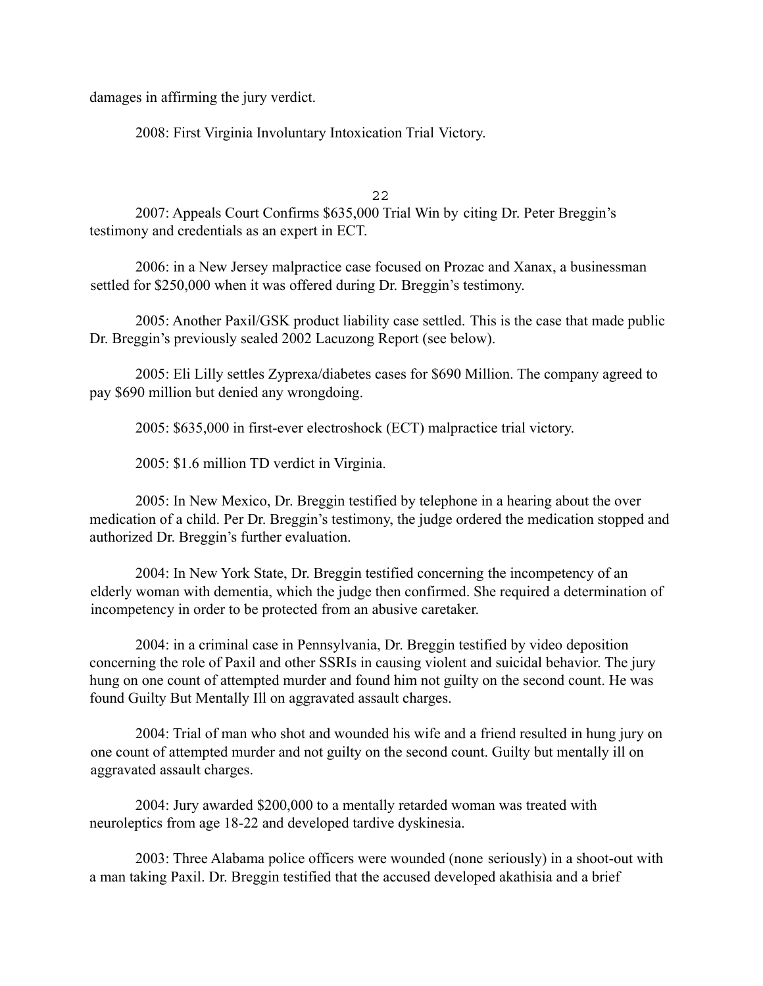damages in affirming the jury verdict.

2008: First Virginia Involuntary Intoxication Trial Victory.

 $22$ 

2007: Appeals Court Confirms \$635,000 Trial Win by citing Dr. Peter Breggin's testimony and credentials as an expert in ECT.

2006: in a New Jersey malpractice case focused on Prozac and Xanax, a businessman settled for \$250,000 when it was offered during Dr. Breggin's testimony.

2005: Another Paxil/GSK product liability case settled. This is the case that made public Dr. Breggin's previously sealed 2002 Lacuzong Report (see below).

2005: Eli Lilly settles Zyprexa/diabetes cases for \$690 Million. The company agreed to pay \$690 million but denied any wrongdoing.

2005: \$635,000 in first-ever electroshock (ECT) malpractice trial victory.

2005: \$1.6 million TD verdict in Virginia.

2005: In New Mexico, Dr. Breggin testified by telephone in a hearing about the over medication of a child. Per Dr. Breggin's testimony, the judge ordered the medication stopped and authorized Dr. Breggin's further evaluation.

2004: In New York State, Dr. Breggin testified concerning the incompetency of an elderly woman with dementia, which the judge then confirmed. She required a determination of incompetency in order to be protected from an abusive caretaker.

2004: in a criminal case in Pennsylvania, Dr. Breggin testified by video deposition concerning the role of Paxil and other SSRIs in causing violent and suicidal behavior. The jury hung on one count of attempted murder and found him not guilty on the second count. He was found Guilty But Mentally Ill on aggravated assault charges.

2004: Trial of man who shot and wounded his wife and a friend resulted in hung jury on one count of attempted murder and not guilty on the second count. Guilty but mentally ill on aggravated assault charges.

2004: Jury awarded \$200,000 to a mentally retarded woman was treated with neuroleptics from age 18-22 and developed tardive dyskinesia.

2003: Three Alabama police officers were wounded (none seriously) in a shoot-out with a man taking Paxil. Dr. Breggin testified that the accused developed akathisia and a brief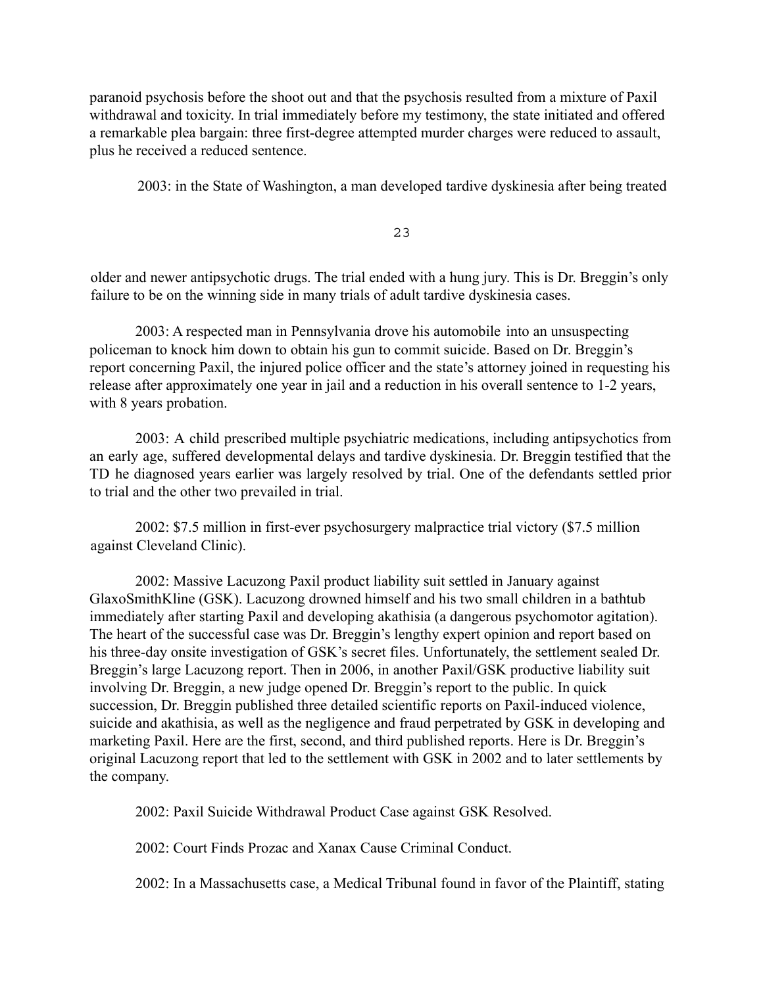paranoid psychosis before the shoot out and that the psychosis resulted from a mixture of Paxil withdrawal and toxicity. In trial immediately before my testimony, the state initiated and offered a remarkable plea bargain: three first-degree attempted murder charges were reduced to assault, plus he received a reduced sentence.

2003: in the State of Washington, a man developed tardive dyskinesia after being treated

23

older and newer antipsychotic drugs. The trial ended with a hung jury. This is Dr. Breggin's only failure to be on the winning side in many trials of adult tardive dyskinesia cases.

2003: A respected man in Pennsylvania drove his automobile into an unsuspecting policeman to knock him down to obtain his gun to commit suicide. Based on Dr. Breggin's report concerning Paxil, the injured police officer and the state's attorney joined in requesting his release after approximately one year in jail and a reduction in his overall sentence to 1-2 years, with 8 years probation.

2003: A child prescribed multiple psychiatric medications, including antipsychotics from an early age, suffered developmental delays and tardive dyskinesia. Dr. Breggin testified that the TD he diagnosed years earlier was largely resolved by trial. One of the defendants settled prior to trial and the other two prevailed in trial.

2002: \$7.5 million in first-ever psychosurgery malpractice trial victory (\$7.5 million against Cleveland Clinic).

2002: Massive Lacuzong Paxil product liability suit settled in January against GlaxoSmithKline (GSK). Lacuzong drowned himself and his two small children in a bathtub immediately after starting Paxil and developing akathisia (a dangerous psychomotor agitation). The heart of the successful case was Dr. Breggin's lengthy expert opinion and report based on his three-day onsite investigation of GSK's secret files. Unfortunately, the settlement sealed Dr. Breggin's large Lacuzong report. Then in 2006, in another Paxil/GSK productive liability suit involving Dr. Breggin, a new judge opened Dr. Breggin's report to the public. In quick succession, Dr. Breggin published three detailed scientific reports on Paxil-induced violence, suicide and akathisia, as well as the negligence and fraud perpetrated by GSK in developing and marketing Paxil. Here are the first, second, and third published reports. Here is Dr. Breggin's original Lacuzong report that led to the settlement with GSK in 2002 and to later settlements by the company.

2002: Paxil Suicide Withdrawal Product Case against GSK Resolved.

2002: Court Finds Prozac and Xanax Cause Criminal Conduct.

2002: In a Massachusetts case, a Medical Tribunal found in favor of the Plaintiff, stating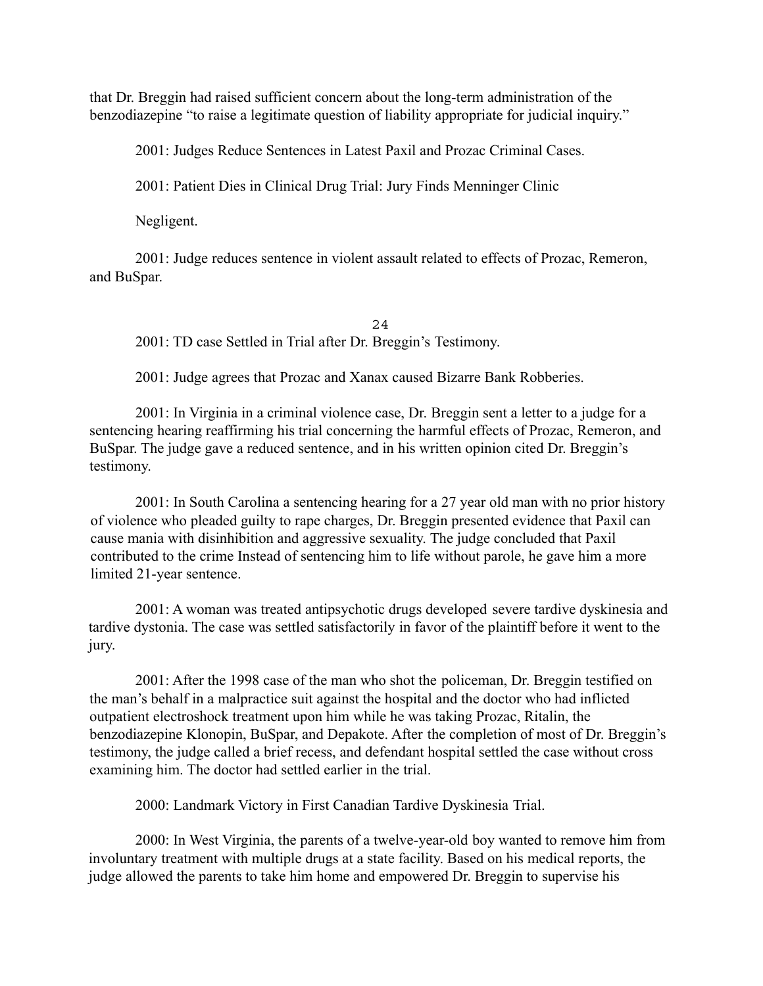that Dr. Breggin had raised sufficient concern about the long-term administration of the benzodiazepine "to raise a legitimate question of liability appropriate for judicial inquiry."

2001: Judges Reduce Sentences in Latest Paxil and Prozac Criminal Cases.

2001: Patient Dies in Clinical Drug Trial: Jury Finds Menninger Clinic

Negligent.

2001: Judge reduces sentence in violent assault related to effects of Prozac, Remeron, and BuSpar.

24 2001: TD case Settled in Trial after Dr. Breggin's Testimony.

2001: Judge agrees that Prozac and Xanax caused Bizarre Bank Robberies.

2001: In Virginia in a criminal violence case, Dr. Breggin sent a letter to a judge for a sentencing hearing reaffirming his trial concerning the harmful effects of Prozac, Remeron, and BuSpar. The judge gave a reduced sentence, and in his written opinion cited Dr. Breggin's testimony.

2001: In South Carolina a sentencing hearing for a 27 year old man with no prior history of violence who pleaded guilty to rape charges, Dr. Breggin presented evidence that Paxil can cause mania with disinhibition and aggressive sexuality. The judge concluded that Paxil contributed to the crime Instead of sentencing him to life without parole, he gave him a more limited 21-year sentence.

2001: A woman was treated antipsychotic drugs developed severe tardive dyskinesia and tardive dystonia. The case was settled satisfactorily in favor of the plaintiff before it went to the jury.

2001: After the 1998 case of the man who shot the policeman, Dr. Breggin testified on the man's behalf in a malpractice suit against the hospital and the doctor who had inflicted outpatient electroshock treatment upon him while he was taking Prozac, Ritalin, the benzodiazepine Klonopin, BuSpar, and Depakote. After the completion of most of Dr. Breggin's testimony, the judge called a brief recess, and defendant hospital settled the case without cross examining him. The doctor had settled earlier in the trial.

2000: Landmark Victory in First Canadian Tardive Dyskinesia Trial.

2000: In West Virginia, the parents of a twelve-year-old boy wanted to remove him from involuntary treatment with multiple drugs at a state facility. Based on his medical reports, the judge allowed the parents to take him home and empowered Dr. Breggin to supervise his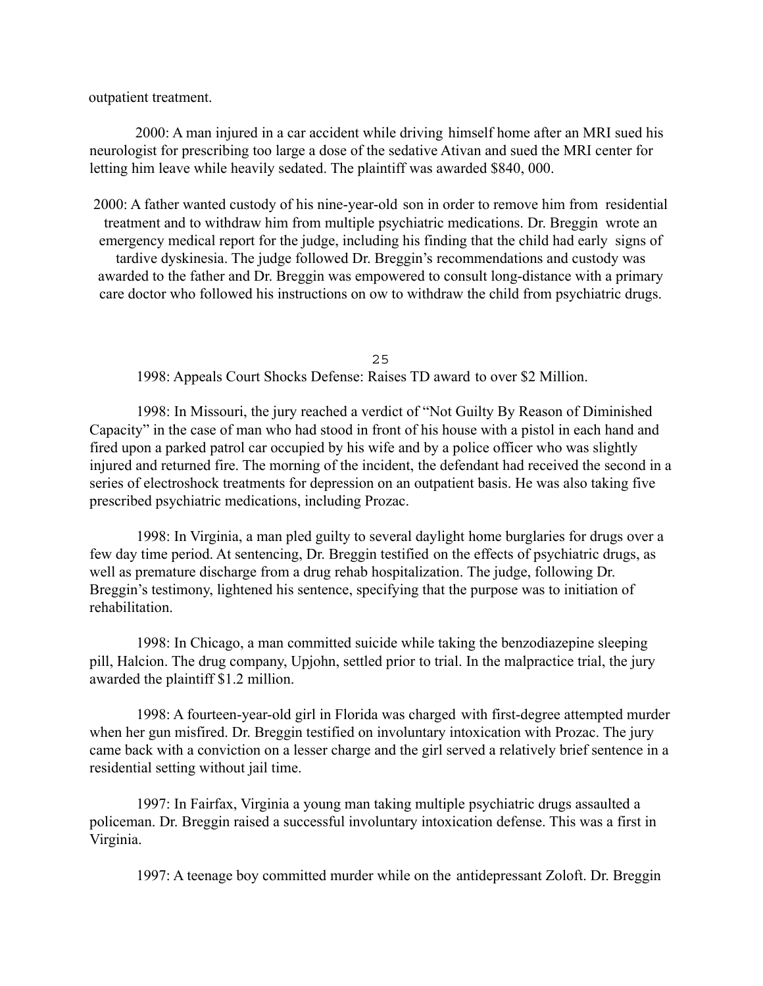outpatient treatment.

2000: A man injured in a car accident while driving himself home after an MRI sued his neurologist for prescribing too large a dose of the sedative Ativan and sued the MRI center for letting him leave while heavily sedated. The plaintiff was awarded \$840, 000.

2000: A father wanted custody of his nine-year-old son in order to remove him from residential treatment and to withdraw him from multiple psychiatric medications. Dr. Breggin wrote an emergency medical report for the judge, including his finding that the child had early signs of tardive dyskinesia. The judge followed Dr. Breggin's recommendations and custody was awarded to the father and Dr. Breggin was empowered to consult long-distance with a primary care doctor who followed his instructions on ow to withdraw the child from psychiatric drugs.

25

1998: Appeals Court Shocks Defense: Raises TD award to over \$2 Million.

1998: In Missouri, the jury reached a verdict of "Not Guilty By Reason of Diminished Capacity" in the case of man who had stood in front of his house with a pistol in each hand and fired upon a parked patrol car occupied by his wife and by a police officer who was slightly injured and returned fire. The morning of the incident, the defendant had received the second in a series of electroshock treatments for depression on an outpatient basis. He was also taking five prescribed psychiatric medications, including Prozac.

1998: In Virginia, a man pled guilty to several daylight home burglaries for drugs over a few day time period. At sentencing, Dr. Breggin testified on the effects of psychiatric drugs, as well as premature discharge from a drug rehab hospitalization. The judge, following Dr. Breggin's testimony, lightened his sentence, specifying that the purpose was to initiation of rehabilitation.

1998: In Chicago, a man committed suicide while taking the benzodiazepine sleeping pill, Halcion. The drug company, Upjohn, settled prior to trial. In the malpractice trial, the jury awarded the plaintiff \$1.2 million.

1998: A fourteen-year-old girl in Florida was charged with first-degree attempted murder when her gun misfired. Dr. Breggin testified on involuntary intoxication with Prozac. The jury came back with a conviction on a lesser charge and the girl served a relatively brief sentence in a residential setting without jail time.

1997: In Fairfax, Virginia a young man taking multiple psychiatric drugs assaulted a policeman. Dr. Breggin raised a successful involuntary intoxication defense. This was a first in Virginia.

1997: A teenage boy committed murder while on the antidepressant Zoloft. Dr. Breggin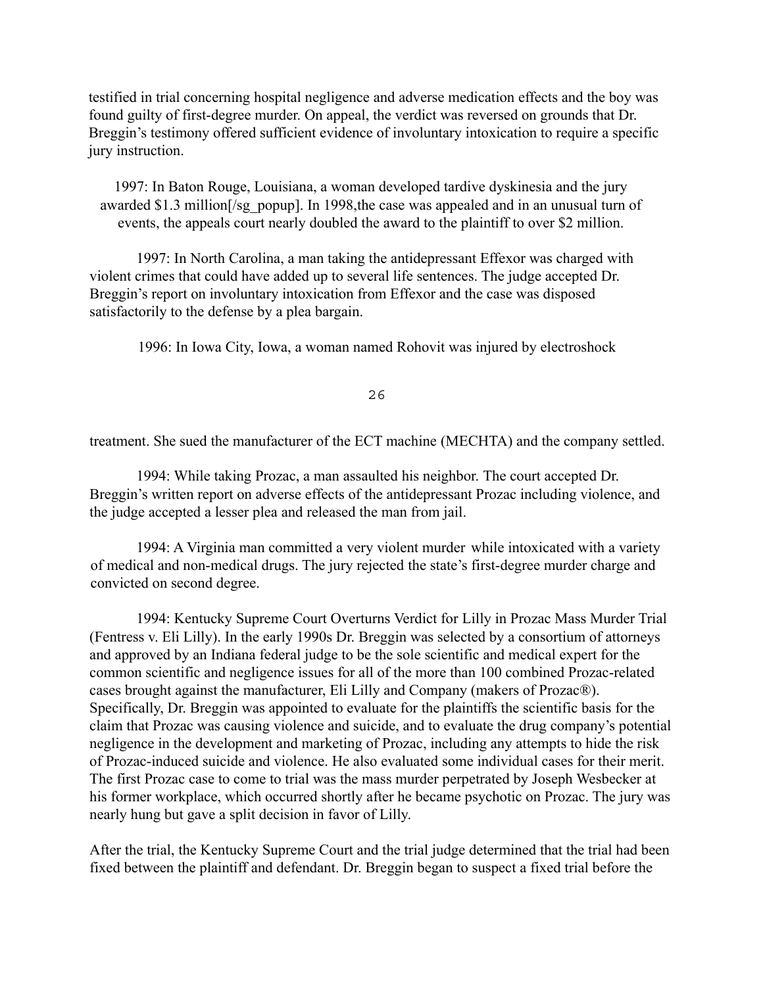testified in trial concerning hospital negligence and adverse medication effects and the boy was found guilty of first-degree murder. On appeal, the verdict was reversed on grounds that Dr. Breggin's testimony offered sufficient evidence of involuntary intoxication to require a specific jury instruction.

1997: In Baton Rouge, Louisiana, a woman developed tardive dyskinesia and the jury awarded \$1.3 million[/sg\_popup]. In 1998,the case was appealed and in an unusual turn of events, the appeals court nearly doubled the award to the plaintiff to over \$2 million.

1997: In North Carolina, a man taking the antidepressant Effexor was charged with violent crimes that could have added up to several life sentences. The judge accepted Dr. Breggin's report on involuntary intoxication from Effexor and the case was disposed satisfactorily to the defense by a plea bargain.

1996: In Iowa City, Iowa, a woman named Rohovit was injured by electroshock

26

treatment. She sued the manufacturer of the ECT machine (MECHTA) and the company settled.

1994: While taking Prozac, a man assaulted his neighbor. The court accepted Dr. Breggin's written report on adverse effects of the antidepressant Prozac including violence, and the judge accepted a lesser plea and released the man from jail.

1994: A Virginia man committed a very violent murder while intoxicated with a variety of medical and non-medical drugs. The jury rejected the state's first-degree murder charge and convicted on second degree.

1994: Kentucky Supreme Court Overturns Verdict for Lilly in Prozac Mass Murder Trial (Fentress v. Eli Lilly). In the early 1990s Dr. Breggin was selected by a consortium of attorneys and approved by an Indiana federal judge to be the sole scientific and medical expert for the common scientific and negligence issues for all of the more than 100 combined Prozac-related cases brought against the manufacturer, Eli Lilly and Company (makers of Prozac®). Specifically, Dr. Breggin was appointed to evaluate for the plaintiffs the scientific basis for the claim that Prozac was causing violence and suicide, and to evaluate the drug company's potential negligence in the development and marketing of Prozac, including any attempts to hide the risk of Prozac-induced suicide and violence. He also evaluated some individual cases for their merit. The first Prozac case to come to trial was the mass murder perpetrated by Joseph Wesbecker at his former workplace, which occurred shortly after he became psychotic on Prozac. The jury was nearly hung but gave a split decision in favor of Lilly.

After the trial, the Kentucky Supreme Court and the trial judge determined that the trial had been fixed between the plaintiff and defendant. Dr. Breggin began to suspect a fixed trial before the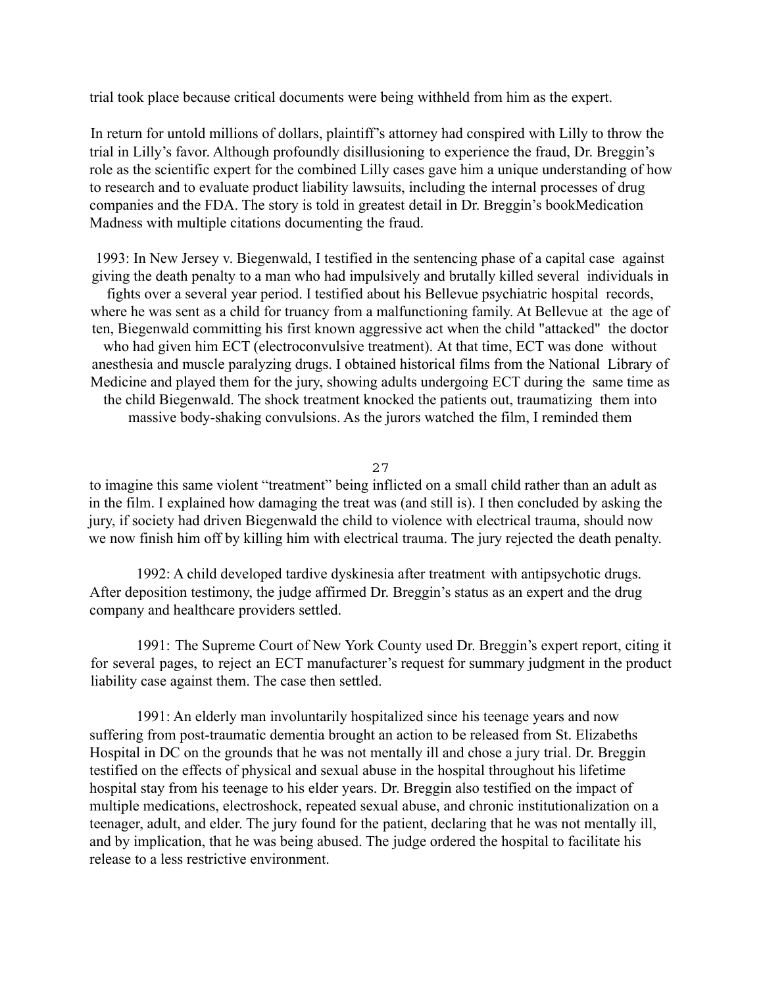trial took place because critical documents were being withheld from him as the expert.

In return for untold millions of dollars, plaintiff's attorney had conspired with Lilly to throw the trial in Lilly's favor. Although profoundly disillusioning to experience the fraud, Dr. Breggin's role as the scientific expert for the combined Lilly cases gave him a unique understanding of how to research and to evaluate product liability lawsuits, including the internal processes of drug companies and the FDA. The story is told in greatest detail in Dr. Breggin's bookMedication Madness with multiple citations documenting the fraud.

1993: In New Jersey v. Biegenwald, I testified in the sentencing phase of a capital case against giving the death penalty to a man who had impulsively and brutally killed several individuals in fights over a several year period. I testified about his Bellevue psychiatric hospital records, where he was sent as a child for truancy from a malfunctioning family. At Bellevue at the age of ten, Biegenwald committing his first known aggressive act when the child "attacked" the doctor who had given him ECT (electroconvulsive treatment). At that time, ECT was done without anesthesia and muscle paralyzing drugs. I obtained historical films from the National Library of Medicine and played them for the jury, showing adults undergoing ECT during the same time as the child Biegenwald. The shock treatment knocked the patients out, traumatizing them into massive body-shaking convulsions. As the jurors watched the film, I reminded them

27

to imagine this same violent "treatment" being inflicted on a small child rather than an adult as in the film. I explained how damaging the treat was (and still is). I then concluded by asking the jury, if society had driven Biegenwald the child to violence with electrical trauma, should now we now finish him off by killing him with electrical trauma. The jury rejected the death penalty.

1992: A child developed tardive dyskinesia after treatment with antipsychotic drugs. After deposition testimony, the judge affirmed Dr. Breggin's status as an expert and the drug company and healthcare providers settled.

1991: The Supreme Court of New York County used Dr. Breggin's expert report, citing it for several pages, to reject an ECT manufacturer's request for summary judgment in the product liability case against them. The case then settled.

1991: An elderly man involuntarily hospitalized since his teenage years and now suffering from post-traumatic dementia brought an action to be released from St. Elizabeths Hospital in DC on the grounds that he was not mentally ill and chose a jury trial. Dr. Breggin testified on the effects of physical and sexual abuse in the hospital throughout his lifetime hospital stay from his teenage to his elder years. Dr. Breggin also testified on the impact of multiple medications, electroshock, repeated sexual abuse, and chronic institutionalization on a teenager, adult, and elder. The jury found for the patient, declaring that he was not mentally ill, and by implication, that he was being abused. The judge ordered the hospital to facilitate his release to a less restrictive environment.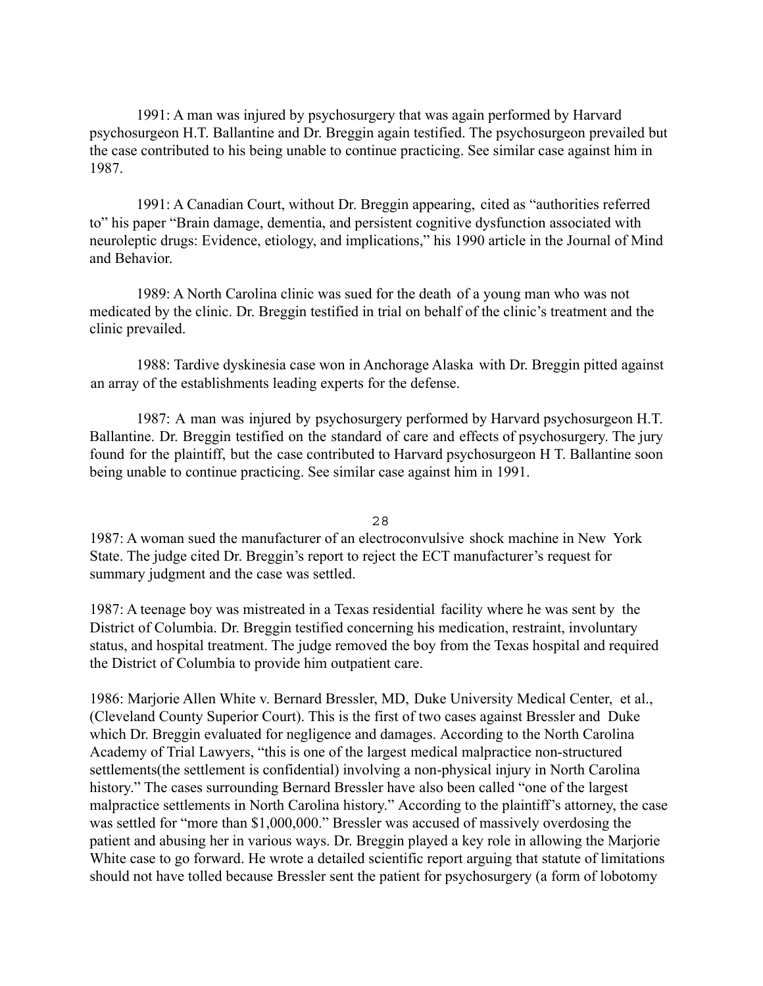1991: A man was injured by psychosurgery that was again performed by Harvard psychosurgeon H.T. Ballantine and Dr. Breggin again testified. The psychosurgeon prevailed but the case contributed to his being unable to continue practicing. See similar case against him in 1987.

1991: A Canadian Court, without Dr. Breggin appearing, cited as "authorities referred to" his paper "Brain damage, dementia, and persistent cognitive dysfunction associated with neuroleptic drugs: Evidence, etiology, and implications," his 1990 article in the Journal of Mind and Behavior.

1989: A North Carolina clinic was sued for the death of a young man who was not medicated by the clinic. Dr. Breggin testified in trial on behalf of the clinic's treatment and the clinic prevailed.

1988: Tardive dyskinesia case won in Anchorage Alaska with Dr. Breggin pitted against an array of the establishments leading experts for the defense.

1987: A man was injured by psychosurgery performed by Harvard psychosurgeon H.T. Ballantine. Dr. Breggin testified on the standard of care and effects of psychosurgery. The jury found for the plaintiff, but the case contributed to Harvard psychosurgeon H T. Ballantine soon being unable to continue practicing. See similar case against him in 1991.

28

1987: A woman sued the manufacturer of an electroconvulsive shock machine in New York State. The judge cited Dr. Breggin's report to reject the ECT manufacturer's request for summary judgment and the case was settled.

1987: A teenage boy was mistreated in a Texas residential facility where he was sent by the District of Columbia. Dr. Breggin testified concerning his medication, restraint, involuntary status, and hospital treatment. The judge removed the boy from the Texas hospital and required the District of Columbia to provide him outpatient care.

1986: Marjorie Allen White v. Bernard Bressler, MD, Duke University Medical Center, et al., (Cleveland County Superior Court). This is the first of two cases against Bressler and Duke which Dr. Breggin evaluated for negligence and damages. According to the North Carolina Academy of Trial Lawyers, "this is one of the largest medical malpractice non-structured settlements(the settlement is confidential) involving a non-physical injury in North Carolina history." The cases surrounding Bernard Bressler have also been called "one of the largest malpractice settlements in North Carolina history." According to the plaintiff's attorney, the case was settled for "more than \$1,000,000." Bressler was accused of massively overdosing the patient and abusing her in various ways. Dr. Breggin played a key role in allowing the Marjorie White case to go forward. He wrote a detailed scientific report arguing that statute of limitations should not have tolled because Bressler sent the patient for psychosurgery (a form of lobotomy